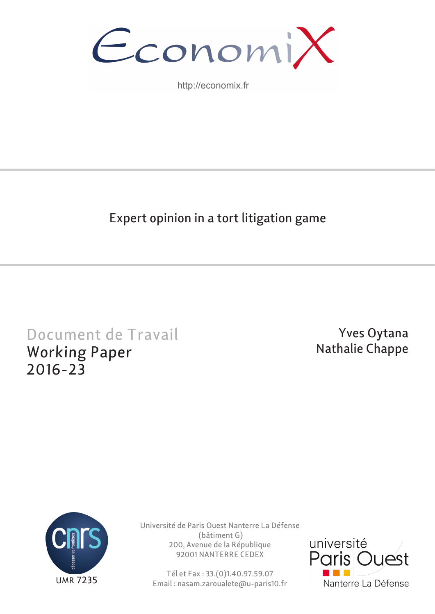

http://economix.fr

## Expert opinion in a tort litigation game

# Document de Travail Working Paper 2016-23

## Yves Oytana Nathalie Chappe



Université de Paris Ouest Nanterre La Défense (bâtiment G) 200, Avenue de la République 92001 NANTERRE CEDEX

Tél et Fax : 33.(0)1.40.97.59.07 Email : nasam.zaroualete@u-paris10.fr

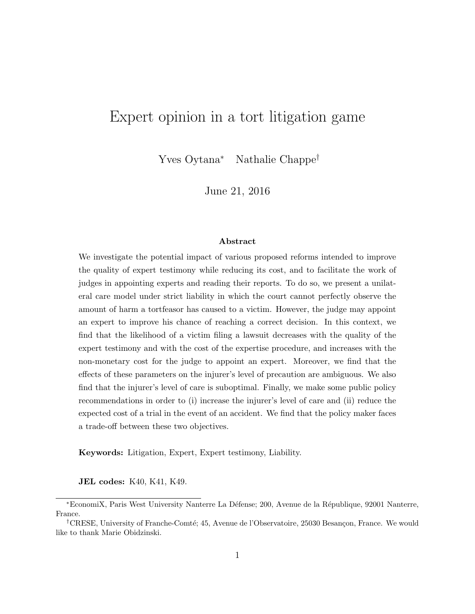### Expert opinion in a tort litigation game

Yves Oytana<sup>∗</sup> Nathalie Chappe†

June 21, 2016

#### Abstract

We investigate the potential impact of various proposed reforms intended to improve the quality of expert testimony while reducing its cost, and to facilitate the work of judges in appointing experts and reading their reports. To do so, we present a unilateral care model under strict liability in which the court cannot perfectly observe the amount of harm a tortfeasor has caused to a victim. However, the judge may appoint an expert to improve his chance of reaching a correct decision. In this context, we find that the likelihood of a victim filing a lawsuit decreases with the quality of the expert testimony and with the cost of the expertise procedure, and increases with the non-monetary cost for the judge to appoint an expert. Moreover, we find that the effects of these parameters on the injurer's level of precaution are ambiguous. We also find that the injurer's level of care is suboptimal. Finally, we make some public policy recommendations in order to (i) increase the injurer's level of care and (ii) reduce the expected cost of a trial in the event of an accident. We find that the policy maker faces a trade-off between these two objectives.

Keywords: Litigation, Expert, Expert testimony, Liability.

JEL codes: K40, K41, K49.

<sup>∗</sup>EconomiX, Paris West University Nanterre La D´efense; 200, Avenue de la R´epublique, 92001 Nanterre, France.

<sup>&</sup>lt;sup>†</sup>CRESE, University of Franche-Comté; 45, Avenue de l'Observatoire, 25030 Besançon, France. We would like to thank Marie Obidzinski.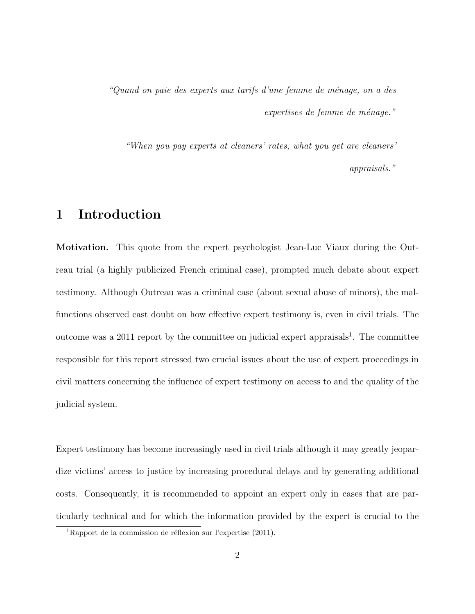"Quand on paie des experts aux tarifs d'une femme de ménage, on a des  $expertises$  de femme de ménage."

"When you pay experts at cleaners' rates, what you get are cleaners' appraisals."

### 1 Introduction

Motivation. This quote from the expert psychologist Jean-Luc Viaux during the Outreau trial (a highly publicized French criminal case), prompted much debate about expert testimony. Although Outreau was a criminal case (about sexual abuse of minors), the malfunctions observed cast doubt on how effective expert testimony is, even in civil trials. The outcome was a 2011 report by the committee on judicial expert appraisals<sup>1</sup>. The committee responsible for this report stressed two crucial issues about the use of expert proceedings in civil matters concerning the influence of expert testimony on access to and the quality of the judicial system.

Expert testimony has become increasingly used in civil trials although it may greatly jeopardize victims' access to justice by increasing procedural delays and by generating additional costs. Consequently, it is recommended to appoint an expert only in cases that are particularly technical and for which the information provided by the expert is crucial to the

<sup>&</sup>lt;sup>1</sup>Rapport de la commission de réflexion sur l'expertise  $(2011)$ .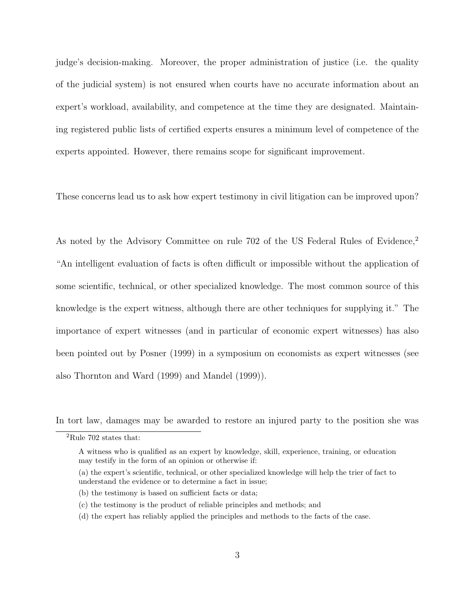judge's decision-making. Moreover, the proper administration of justice (i.e. the quality of the judicial system) is not ensured when courts have no accurate information about an expert's workload, availability, and competence at the time they are designated. Maintaining registered public lists of certified experts ensures a minimum level of competence of the experts appointed. However, there remains scope for significant improvement.

These concerns lead us to ask how expert testimony in civil litigation can be improved upon?

As noted by the Advisory Committee on rule 702 of the US Federal Rules of Evidence,<sup>2</sup> "An intelligent evaluation of facts is often difficult or impossible without the application of some scientific, technical, or other specialized knowledge. The most common source of this knowledge is the expert witness, although there are other techniques for supplying it." The importance of expert witnesses (and in particular of economic expert witnesses) has also been pointed out by Posner (1999) in a symposium on economists as expert witnesses (see also Thornton and Ward (1999) and Mandel (1999)).

In tort law, damages may be awarded to restore an injured party to the position she was

(a) the expert's scientific, technical, or other specialized knowledge will help the trier of fact to understand the evidence or to determine a fact in issue;

(d) the expert has reliably applied the principles and methods to the facts of the case.

 $^2 \rm{Rule}$  702 states that:

A witness who is qualified as an expert by knowledge, skill, experience, training, or education may testify in the form of an opinion or otherwise if:

<sup>(</sup>b) the testimony is based on sufficient facts or data;

<sup>(</sup>c) the testimony is the product of reliable principles and methods; and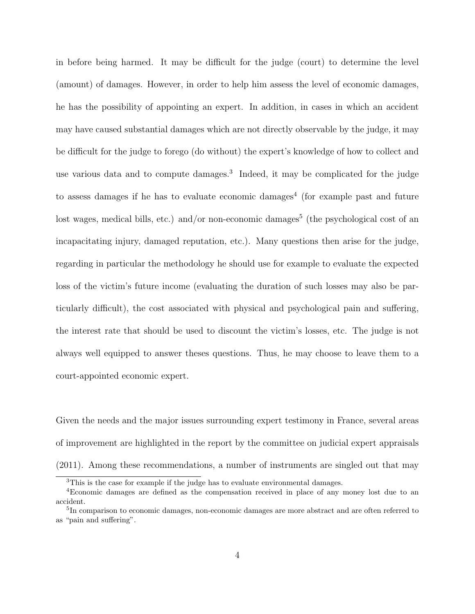in before being harmed. It may be difficult for the judge (court) to determine the level (amount) of damages. However, in order to help him assess the level of economic damages, he has the possibility of appointing an expert. In addition, in cases in which an accident may have caused substantial damages which are not directly observable by the judge, it may be difficult for the judge to forego (do without) the expert's knowledge of how to collect and use various data and to compute damages.<sup>3</sup> Indeed, it may be complicated for the judge to assess damages if he has to evaluate economic damages<sup>4</sup> (for example past and future lost wages, medical bills, etc.) and/or non-economic damages<sup>5</sup> (the psychological cost of an incapacitating injury, damaged reputation, etc.). Many questions then arise for the judge, regarding in particular the methodology he should use for example to evaluate the expected loss of the victim's future income (evaluating the duration of such losses may also be particularly difficult), the cost associated with physical and psychological pain and suffering, the interest rate that should be used to discount the victim's losses, etc. The judge is not always well equipped to answer theses questions. Thus, he may choose to leave them to a court-appointed economic expert.

Given the needs and the major issues surrounding expert testimony in France, several areas of improvement are highlighted in the report by the committee on judicial expert appraisals (2011). Among these recommendations, a number of instruments are singled out that may

<sup>&</sup>lt;sup>3</sup>This is the case for example if the judge has to evaluate environmental damages.

<sup>4</sup>Economic damages are defined as the compensation received in place of any money lost due to an accident.

<sup>&</sup>lt;sup>5</sup>In comparison to economic damages, non-economic damages are more abstract and are often referred to as "pain and suffering".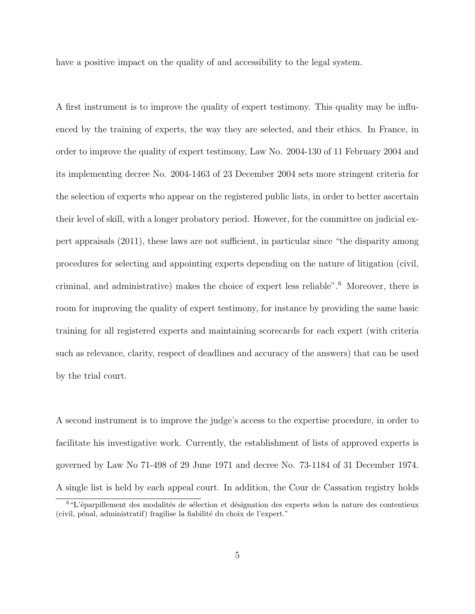have a positive impact on the quality of and accessibility to the legal system.

A first instrument is to improve the quality of expert testimony. This quality may be influenced by the training of experts, the way they are selected, and their ethics. In France, in order to improve the quality of expert testimony, Law No. 2004-130 of 11 February 2004 and its implementing decree No. 2004-1463 of 23 December 2004 sets more stringent criteria for the selection of experts who appear on the registered public lists, in order to better ascertain their level of skill, with a longer probatory period. However, for the committee on judicial expert appraisals (2011), these laws are not sufficient, in particular since "the disparity among procedures for selecting and appointing experts depending on the nature of litigation (civil, criminal, and administrative) makes the choice of expert less reliable".<sup>6</sup> Moreover, there is room for improving the quality of expert testimony, for instance by providing the same basic training for all registered experts and maintaining scorecards for each expert (with criteria such as relevance, clarity, respect of deadlines and accuracy of the answers) that can be used by the trial court.

A second instrument is to improve the judge's access to the expertise procedure, in order to facilitate his investigative work. Currently, the establishment of lists of approved experts is governed by Law No 71-498 of 29 June 1971 and decree No. 73-1184 of 31 December 1974. A single list is held by each appeal court. In addition, the Cour de Cassation registry holds

 $6"L'$ éparpillement des modalités de sélection et désignation des experts selon la nature des contentieux  $(civil, pénal, administratif)$  fragilise la fiabilité du choix de l'expert."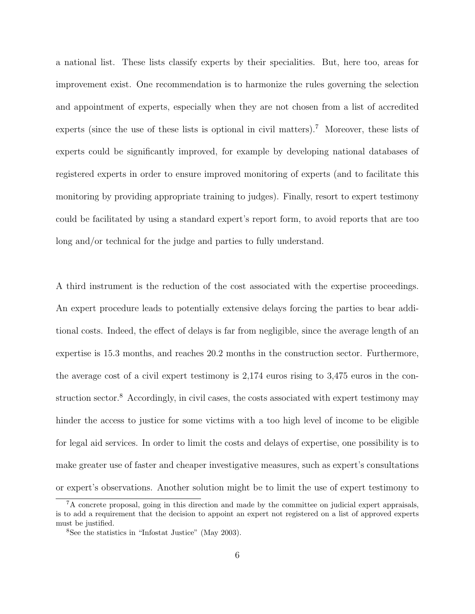a national list. These lists classify experts by their specialities. But, here too, areas for improvement exist. One recommendation is to harmonize the rules governing the selection and appointment of experts, especially when they are not chosen from a list of accredited experts (since the use of these lists is optional in civil matters).<sup>7</sup> Moreover, these lists of experts could be significantly improved, for example by developing national databases of registered experts in order to ensure improved monitoring of experts (and to facilitate this monitoring by providing appropriate training to judges). Finally, resort to expert testimony could be facilitated by using a standard expert's report form, to avoid reports that are too long and/or technical for the judge and parties to fully understand.

A third instrument is the reduction of the cost associated with the expertise proceedings. An expert procedure leads to potentially extensive delays forcing the parties to bear additional costs. Indeed, the effect of delays is far from negligible, since the average length of an expertise is 15.3 months, and reaches 20.2 months in the construction sector. Furthermore, the average cost of a civil expert testimony is 2,174 euros rising to 3,475 euros in the construction sector.<sup>8</sup> Accordingly, in civil cases, the costs associated with expert testimony may hinder the access to justice for some victims with a too high level of income to be eligible for legal aid services. In order to limit the costs and delays of expertise, one possibility is to make greater use of faster and cheaper investigative measures, such as expert's consultations or expert's observations. Another solution might be to limit the use of expert testimony to

<sup>7</sup>A concrete proposal, going in this direction and made by the committee on judicial expert appraisals, is to add a requirement that the decision to appoint an expert not registered on a list of approved experts must be justified.

<sup>8</sup>See the statistics in "Infostat Justice" (May 2003).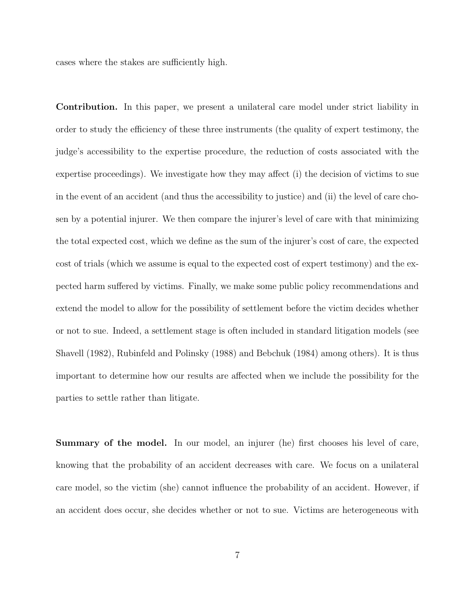cases where the stakes are sufficiently high.

Contribution. In this paper, we present a unilateral care model under strict liability in order to study the efficiency of these three instruments (the quality of expert testimony, the judge's accessibility to the expertise procedure, the reduction of costs associated with the expertise proceedings). We investigate how they may affect (i) the decision of victims to sue in the event of an accident (and thus the accessibility to justice) and (ii) the level of care chosen by a potential injurer. We then compare the injurer's level of care with that minimizing the total expected cost, which we define as the sum of the injurer's cost of care, the expected cost of trials (which we assume is equal to the expected cost of expert testimony) and the expected harm suffered by victims. Finally, we make some public policy recommendations and extend the model to allow for the possibility of settlement before the victim decides whether or not to sue. Indeed, a settlement stage is often included in standard litigation models (see Shavell (1982), Rubinfeld and Polinsky (1988) and Bebchuk (1984) among others). It is thus important to determine how our results are affected when we include the possibility for the parties to settle rather than litigate.

Summary of the model. In our model, an injurer (he) first chooses his level of care, knowing that the probability of an accident decreases with care. We focus on a unilateral care model, so the victim (she) cannot influence the probability of an accident. However, if an accident does occur, she decides whether or not to sue. Victims are heterogeneous with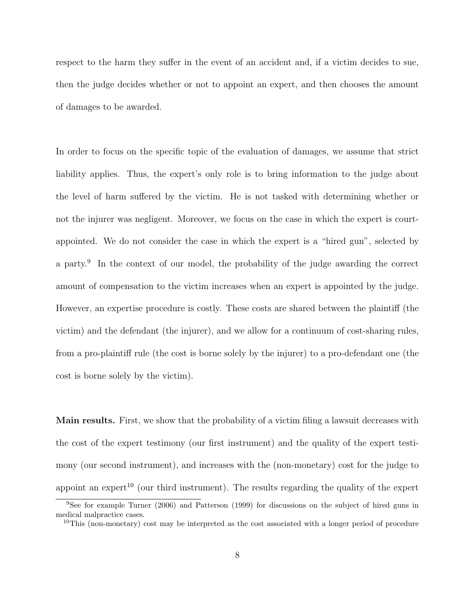respect to the harm they suffer in the event of an accident and, if a victim decides to sue, then the judge decides whether or not to appoint an expert, and then chooses the amount of damages to be awarded.

In order to focus on the specific topic of the evaluation of damages, we assume that strict liability applies. Thus, the expert's only role is to bring information to the judge about the level of harm suffered by the victim. He is not tasked with determining whether or not the injurer was negligent. Moreover, we focus on the case in which the expert is courtappointed. We do not consider the case in which the expert is a "hired gun", selected by a party.<sup>9</sup> In the context of our model, the probability of the judge awarding the correct amount of compensation to the victim increases when an expert is appointed by the judge. However, an expertise procedure is costly. These costs are shared between the plaintiff (the victim) and the defendant (the injurer), and we allow for a continuum of cost-sharing rules, from a pro-plaintiff rule (the cost is borne solely by the injurer) to a pro-defendant one (the cost is borne solely by the victim).

Main results. First, we show that the probability of a victim filing a lawsuit decreases with the cost of the expert testimony (our first instrument) and the quality of the expert testimony (our second instrument), and increases with the (non-monetary) cost for the judge to appoint an expert<sup>10</sup> (our third instrument). The results regarding the quality of the expert

<sup>9</sup>See for example Turner (2006) and Patterson (1999) for discussions on the subject of hired guns in medical malpractice cases.

<sup>&</sup>lt;sup>10</sup>This (non-monetary) cost may be interpreted as the cost associated with a longer period of procedure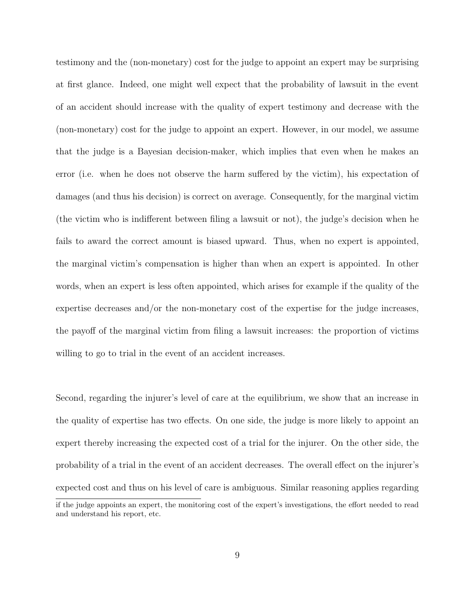testimony and the (non-monetary) cost for the judge to appoint an expert may be surprising at first glance. Indeed, one might well expect that the probability of lawsuit in the event of an accident should increase with the quality of expert testimony and decrease with the (non-monetary) cost for the judge to appoint an expert. However, in our model, we assume that the judge is a Bayesian decision-maker, which implies that even when he makes an error (i.e. when he does not observe the harm suffered by the victim), his expectation of damages (and thus his decision) is correct on average. Consequently, for the marginal victim (the victim who is indifferent between filing a lawsuit or not), the judge's decision when he fails to award the correct amount is biased upward. Thus, when no expert is appointed, the marginal victim's compensation is higher than when an expert is appointed. In other words, when an expert is less often appointed, which arises for example if the quality of the expertise decreases and/or the non-monetary cost of the expertise for the judge increases, the payoff of the marginal victim from filing a lawsuit increases: the proportion of victims willing to go to trial in the event of an accident increases.

Second, regarding the injurer's level of care at the equilibrium, we show that an increase in the quality of expertise has two effects. On one side, the judge is more likely to appoint an expert thereby increasing the expected cost of a trial for the injurer. On the other side, the probability of a trial in the event of an accident decreases. The overall effect on the injurer's expected cost and thus on his level of care is ambiguous. Similar reasoning applies regarding if the judge appoints an expert, the monitoring cost of the expert's investigations, the effort needed to read and understand his report, etc.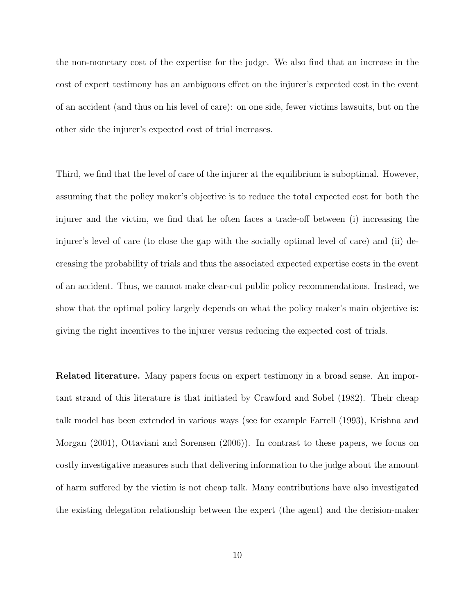the non-monetary cost of the expertise for the judge. We also find that an increase in the cost of expert testimony has an ambiguous effect on the injurer's expected cost in the event of an accident (and thus on his level of care): on one side, fewer victims lawsuits, but on the other side the injurer's expected cost of trial increases.

Third, we find that the level of care of the injurer at the equilibrium is suboptimal. However, assuming that the policy maker's objective is to reduce the total expected cost for both the injurer and the victim, we find that he often faces a trade-off between (i) increasing the injurer's level of care (to close the gap with the socially optimal level of care) and (ii) decreasing the probability of trials and thus the associated expected expertise costs in the event of an accident. Thus, we cannot make clear-cut public policy recommendations. Instead, we show that the optimal policy largely depends on what the policy maker's main objective is: giving the right incentives to the injurer versus reducing the expected cost of trials.

Related literature. Many papers focus on expert testimony in a broad sense. An important strand of this literature is that initiated by Crawford and Sobel (1982). Their cheap talk model has been extended in various ways (see for example Farrell (1993), Krishna and Morgan (2001), Ottaviani and Sorensen (2006)). In contrast to these papers, we focus on costly investigative measures such that delivering information to the judge about the amount of harm suffered by the victim is not cheap talk. Many contributions have also investigated the existing delegation relationship between the expert (the agent) and the decision-maker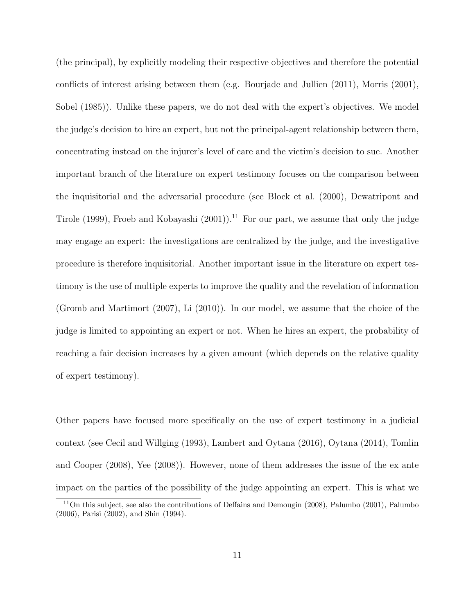(the principal), by explicitly modeling their respective objectives and therefore the potential conflicts of interest arising between them (e.g. Bourjade and Jullien (2011), Morris (2001), Sobel (1985)). Unlike these papers, we do not deal with the expert's objectives. We model the judge's decision to hire an expert, but not the principal-agent relationship between them, concentrating instead on the injurer's level of care and the victim's decision to sue. Another important branch of the literature on expert testimony focuses on the comparison between the inquisitorial and the adversarial procedure (see Block et al. (2000), Dewatripont and Tirole (1999), Froeb and Kobayashi  $(2001)$ .<sup>11</sup> For our part, we assume that only the judge may engage an expert: the investigations are centralized by the judge, and the investigative procedure is therefore inquisitorial. Another important issue in the literature on expert testimony is the use of multiple experts to improve the quality and the revelation of information (Gromb and Martimort (2007), Li (2010)). In our model, we assume that the choice of the judge is limited to appointing an expert or not. When he hires an expert, the probability of reaching a fair decision increases by a given amount (which depends on the relative quality of expert testimony).

Other papers have focused more specifically on the use of expert testimony in a judicial context (see Cecil and Willging (1993), Lambert and Oytana (2016), Oytana (2014), Tomlin and Cooper (2008), Yee (2008)). However, none of them addresses the issue of the ex ante impact on the parties of the possibility of the judge appointing an expert. This is what we

<sup>11</sup>On this subject, see also the contributions of Deffains and Demougin (2008), Palumbo (2001), Palumbo (2006), Parisi (2002), and Shin (1994).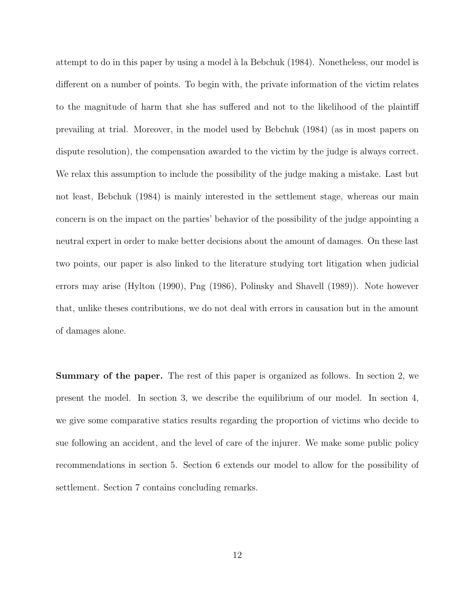attempt to do in this paper by using a model à la Bebchuk (1984). Nonetheless, our model is different on a number of points. To begin with, the private information of the victim relates to the magnitude of harm that she has suffered and not to the likelihood of the plaintiff prevailing at trial. Moreover, in the model used by Bebchuk (1984) (as in most papers on dispute resolution), the compensation awarded to the victim by the judge is always correct. We relax this assumption to include the possibility of the judge making a mistake. Last but not least, Bebchuk (1984) is mainly interested in the settlement stage, whereas our main concern is on the impact on the parties' behavior of the possibility of the judge appointing a neutral expert in order to make better decisions about the amount of damages. On these last two points, our paper is also linked to the literature studying tort litigation when judicial errors may arise (Hylton (1990), Png (1986), Polinsky and Shavell (1989)). Note however that, unlike theses contributions, we do not deal with errors in causation but in the amount of damages alone.

Summary of the paper. The rest of this paper is organized as follows. In section 2, we present the model. In section 3, we describe the equilibrium of our model. In section 4, we give some comparative statics results regarding the proportion of victims who decide to sue following an accident, and the level of care of the injurer. We make some public policy recommendations in section 5. Section 6 extends our model to allow for the possibility of settlement. Section 7 contains concluding remarks.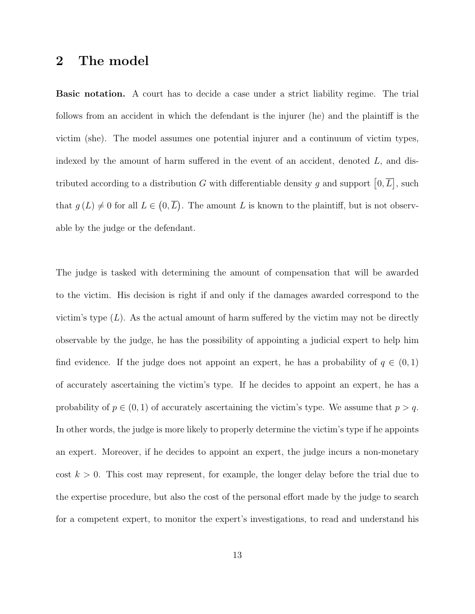### 2 The model

Basic notation. A court has to decide a case under a strict liability regime. The trial follows from an accident in which the defendant is the injurer (he) and the plaintiff is the victim (she). The model assumes one potential injurer and a continuum of victim types, indexed by the amount of harm suffered in the event of an accident, denoted  $L$ , and distributed according to a distribution G with differentiable density g and support  $[0, \overline{L}]$ , such that  $g(L) \neq 0$  for all  $L \in (0, \overline{L})$ . The amount L is known to the plaintiff, but is not observable by the judge or the defendant.

The judge is tasked with determining the amount of compensation that will be awarded to the victim. His decision is right if and only if the damages awarded correspond to the victim's type  $(L)$ . As the actual amount of harm suffered by the victim may not be directly observable by the judge, he has the possibility of appointing a judicial expert to help him find evidence. If the judge does not appoint an expert, he has a probability of  $q \in (0,1)$ of accurately ascertaining the victim's type. If he decides to appoint an expert, he has a probability of  $p \in (0, 1)$  of accurately ascertaining the victim's type. We assume that  $p > q$ . In other words, the judge is more likely to properly determine the victim's type if he appoints an expert. Moreover, if he decides to appoint an expert, the judge incurs a non-monetary cost  $k > 0$ . This cost may represent, for example, the longer delay before the trial due to the expertise procedure, but also the cost of the personal effort made by the judge to search for a competent expert, to monitor the expert's investigations, to read and understand his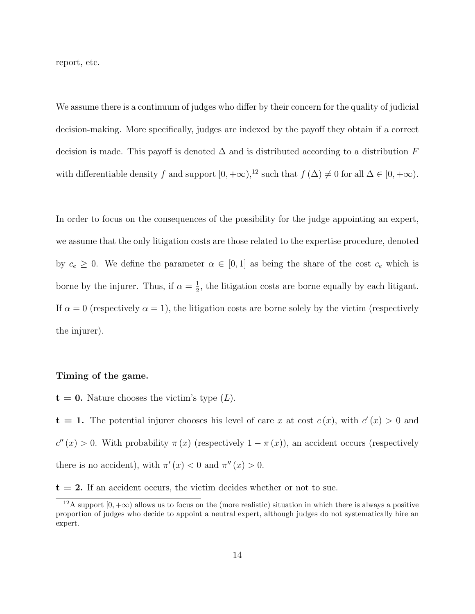report, etc.

We assume there is a continuum of judges who differ by their concern for the quality of judicial decision-making. More specifically, judges are indexed by the payoff they obtain if a correct decision is made. This payoff is denoted  $\Delta$  and is distributed according to a distribution F with differentiable density f and support  $[0, +\infty)$ ,<sup>12</sup> such that  $f(\Delta) \neq 0$  for all  $\Delta \in [0, +\infty)$ .

In order to focus on the consequences of the possibility for the judge appointing an expert, we assume that the only litigation costs are those related to the expertise procedure, denoted by  $c_e \geq 0$ . We define the parameter  $\alpha \in [0,1]$  as being the share of the cost  $c_e$  which is borne by the injurer. Thus, if  $\alpha = \frac{1}{2}$  $\frac{1}{2}$ , the litigation costs are borne equally by each litigant. If  $\alpha = 0$  (respectively  $\alpha = 1$ ), the litigation costs are borne solely by the victim (respectively the injurer).

#### Timing of the game.

 $t = 0$ . Nature chooses the victim's type  $(L)$ .

 $t = 1$ . The potential injurer chooses his level of care x at cost  $c(x)$ , with  $c'(x) > 0$  and  $c''(x) > 0$ . With probability  $\pi(x)$  (respectively  $1 - \pi(x)$ ), an accident occurs (respectively there is no accident), with  $\pi'(x) < 0$  and  $\pi''(x) > 0$ .

 $t = 2$ . If an accident occurs, the victim decides whether or not to sue.

<sup>&</sup>lt;sup>12</sup>A support  $[0, +\infty)$  allows us to focus on the (more realistic) situation in which there is always a positive proportion of judges who decide to appoint a neutral expert, although judges do not systematically hire an expert.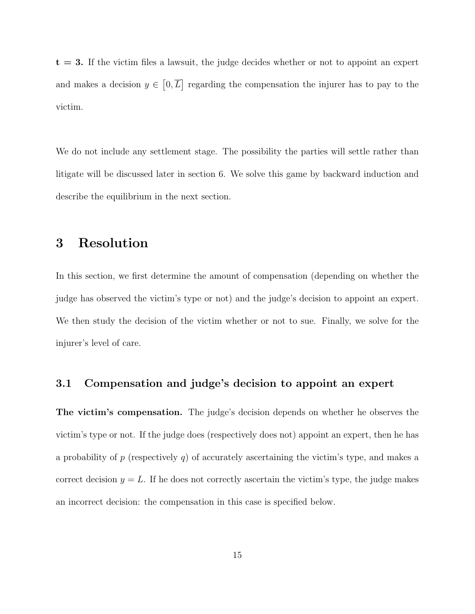$t = 3$ . If the victim files a lawsuit, the judge decides whether or not to appoint an expert and makes a decision  $y \in [0, \overline{L}]$  regarding the compensation the injurer has to pay to the victim.

We do not include any settlement stage. The possibility the parties will settle rather than litigate will be discussed later in section 6. We solve this game by backward induction and describe the equilibrium in the next section.

### 3 Resolution

In this section, we first determine the amount of compensation (depending on whether the judge has observed the victim's type or not) and the judge's decision to appoint an expert. We then study the decision of the victim whether or not to sue. Finally, we solve for the injurer's level of care.

#### 3.1 Compensation and judge's decision to appoint an expert

The victim's compensation. The judge's decision depends on whether he observes the victim's type or not. If the judge does (respectively does not) appoint an expert, then he has a probability of p (respectively q) of accurately ascertaining the victim's type, and makes a correct decision  $y = L$ . If he does not correctly ascertain the victim's type, the judge makes an incorrect decision: the compensation in this case is specified below.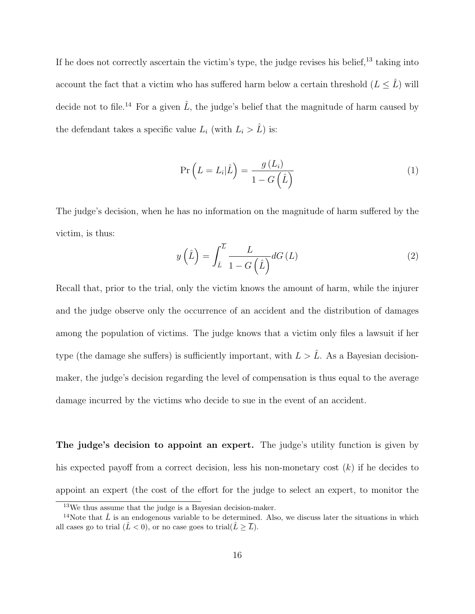If he does not correctly ascertain the victim's type, the judge revises his belief,<sup>13</sup> taking into account the fact that a victim who has suffered harm below a certain threshold  $(L \leq \hat{L})$  will decide not to file.<sup>14</sup> For a given  $\hat{L}$ , the judge's belief that the magnitude of harm caused by the defendant takes a specific value  $L_i$  (with  $L_i > \hat{L}$ ) is:

$$
\Pr\left(L = L_i | \hat{L}\right) = \frac{g\left(L_i\right)}{1 - G\left(\hat{L}\right)}\tag{1}
$$

The judge's decision, when he has no information on the magnitude of harm suffered by the victim, is thus:

$$
y\left(\hat{L}\right) = \int_{\hat{L}}^{\overline{L}} \frac{L}{1 - G\left(\hat{L}\right)} dG\left(L\right) \tag{2}
$$

Recall that, prior to the trial, only the victim knows the amount of harm, while the injurer and the judge observe only the occurrence of an accident and the distribution of damages among the population of victims. The judge knows that a victim only files a lawsuit if her type (the damage she suffers) is sufficiently important, with  $L > L$ . As a Bayesian decisionmaker, the judge's decision regarding the level of compensation is thus equal to the average damage incurred by the victims who decide to sue in the event of an accident.

The judge's decision to appoint an expert. The judge's utility function is given by his expected payoff from a correct decision, less his non-monetary cost  $(k)$  if he decides to appoint an expert (the cost of the effort for the judge to select an expert, to monitor the

<sup>13</sup>We thus assume that the judge is a Bayesian decision-maker.

<sup>&</sup>lt;sup>14</sup>Note that  $\hat{L}$  is an endogenous variable to be determined. Also, we discuss later the situations in which all cases go to trial  $(\hat{L} < 0)$ , or no case goes to trial $(\hat{L} \geq \overline{L})$ .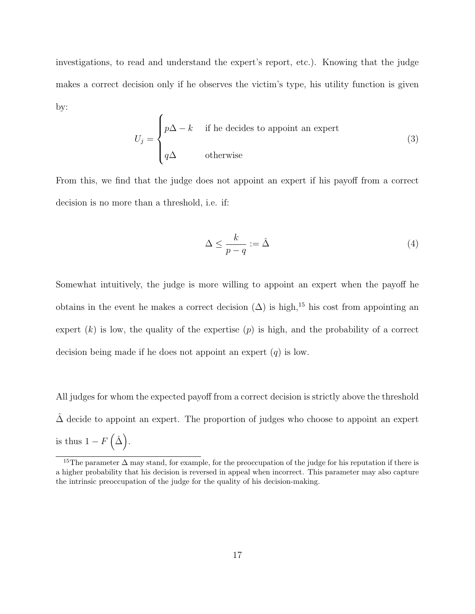investigations, to read and understand the expert's report, etc.). Knowing that the judge makes a correct decision only if he observes the victim's type, his utility function is given by:

$$
U_j = \begin{cases} p\Delta - k & \text{if he decides to appoint an expert} \\ q\Delta & \text{otherwise} \end{cases}
$$
 (3)

From this, we find that the judge does not appoint an expert if his payoff from a correct decision is no more than a threshold, i.e. if:

$$
\Delta \le \frac{k}{p-q} := \hat{\Delta} \tag{4}
$$

Somewhat intuitively, the judge is more willing to appoint an expert when the payoff he obtains in the event he makes a correct decision  $(\Delta)$  is high,<sup>15</sup> his cost from appointing an expert  $(k)$  is low, the quality of the expertise  $(p)$  is high, and the probability of a correct decision being made if he does not appoint an expert  $(q)$  is low.

All judges for whom the expected payoff from a correct decision is strictly above the threshold  $\Delta$  decide to appoint an expert. The proportion of judges who choose to appoint an expert is thus  $1-F(\hat{\Delta})$ .

<sup>&</sup>lt;sup>15</sup>The parameter  $\Delta$  may stand, for example, for the preoccupation of the judge for his reputation if there is a higher probability that his decision is reversed in appeal when incorrect. This parameter may also capture the intrinsic preoccupation of the judge for the quality of his decision-making.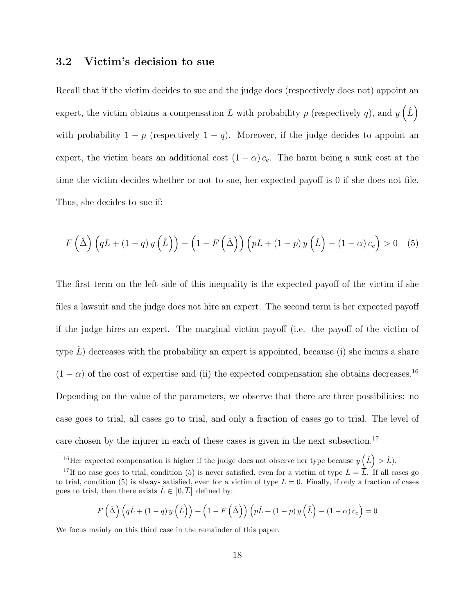#### 3.2 Victim's decision to sue

Recall that if the victim decides to sue and the judge does (respectively does not) appoint an expert, the victim obtains a compensation L with probability p (respectively q), and  $y\left(\hat{L}\right)$ with probability  $1 - p$  (respectively  $1 - q$ ). Moreover, if the judge decides to appoint an expert, the victim bears an additional cost  $(1 - \alpha) c_e$ . The harm being a sunk cost at the time the victim decides whether or not to sue, her expected payoff is 0 if she does not file. Thus, she decides to sue if:

$$
F\left(\hat{\Delta}\right)\left(qL + (1-q)y\left(\hat{L}\right)\right) + \left(1 - F\left(\hat{\Delta}\right)\right)\left(pL + (1-p)y\left(\hat{L}\right) - (1-\alpha)c_e\right) > 0 \quad (5)
$$

The first term on the left side of this inequality is the expected payoff of the victim if she files a lawsuit and the judge does not hire an expert. The second term is her expected payoff if the judge hires an expert. The marginal victim payoff (i.e. the payoff of the victim of type  $L$ ) decreases with the probability an expert is appointed, because (i) she incurs a share  $(1 - \alpha)$  of the cost of expertise and (ii) the expected compensation she obtains decreases.<sup>16</sup> Depending on the value of the parameters, we observe that there are three possibilities: no case goes to trial, all cases go to trial, and only a fraction of cases go to trial. The level of care chosen by the injurer in each of these cases is given in the next subsection.<sup>17</sup>

$$
F\left(\hat{\Delta}\right)\left(q\hat{L} + \left(1-q\right)y\left(\hat{L}\right)\right) + \left(1 - F\left(\hat{\Delta}\right)\right)\left(p\hat{L} + \left(1-p\right)y\left(\hat{L}\right) - \left(1-\alpha\right)c_e\right) = 0
$$

We focus mainly on this third case in the remainder of this paper.

<sup>&</sup>lt;sup>16</sup>Her expected compensation is higher if the judge does not observe her type because  $y(\hat{L}) > \hat{L}$ ).

<sup>&</sup>lt;sup>17</sup>If no case goes to trial, condition (5) is never satisfied, even for a victim of type  $L = \overline{L}$ . If all cases go to trial, condition (5) is always satisfied, even for a victim of type  $L = 0$ . Finally, if only a fraction of cases goes to trial, then there exists  $\hat{L} \in [0, \overline{L}]$  defined by: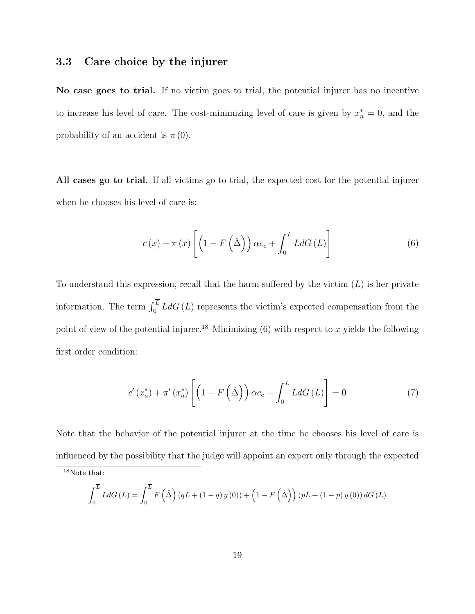#### 3.3 Care choice by the injurer

No case goes to trial. If no victim goes to trial, the potential injurer has no incentive to increase his level of care. The cost-minimizing level of care is given by  $x_n^* = 0$ , and the probability of an accident is  $\pi(0)$ .

All cases go to trial. If all victims go to trial, the expected cost for the potential injurer when he chooses his level of care is:

$$
c(x) + \pi(x) \left[ \left( 1 - F\left(\hat{\Delta}\right) \right) \alpha c_e + \int_0^{\overline{L}} L dG\left(L\right) \right]
$$
 (6)

To understand this expression, recall that the harm suffered by the victim  $(L)$  is her private information. The term  $\int_0^L L dG(L)$  represents the victim's expected compensation from the point of view of the potential injurer.<sup>18</sup> Minimizing (6) with respect to x yields the following first order condition:

$$
c'(x_a^*) + \pi'(x_a^*) \left[ \left( 1 - F\left(\hat{\Delta}\right) \right) \alpha c_e + \int_0^{\overline{L}} L dG\left(L\right) \right] = 0 \tag{7}
$$

Note that the behavior of the potential injurer at the time he chooses his level of care is influenced by the possibility that the judge will appoint an expert only through the expected

$$
\int_0^{\overline{L}} L dG(L) = \int_0^{\overline{L}} F(\hat{\Delta}) (qL + (1-q) y(0)) + (1 - F(\hat{\Delta})) (pL + (1-p) y(0)) dG(L)
$$

<sup>18</sup>Note that: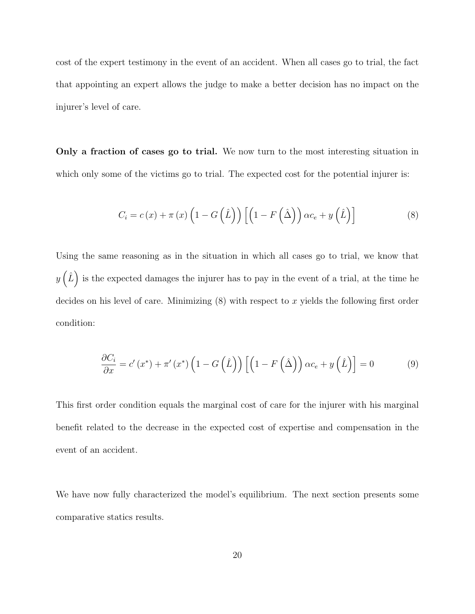cost of the expert testimony in the event of an accident. When all cases go to trial, the fact that appointing an expert allows the judge to make a better decision has no impact on the injurer's level of care.

Only a fraction of cases go to trial. We now turn to the most interesting situation in which only some of the victims go to trial. The expected cost for the potential injurer is:

$$
C_i = c(x) + \pi(x) \left( 1 - G\left(\hat{L}\right)\right) \left[ \left( 1 - F\left(\hat{\Delta}\right)\right) \alpha c_e + y\left(\hat{L}\right) \right]
$$
\n(8)

Using the same reasoning as in the situation in which all cases go to trial, we know that  $y\left(\hat{L}\right)$  is the expected damages the injurer has to pay in the event of a trial, at the time he decides on his level of care. Minimizing  $(8)$  with respect to x yields the following first order condition:

$$
\frac{\partial C_i}{\partial x} = c'(x^*) + \pi'(x^*) \left( 1 - G\left(\hat{L}\right) \right) \left[ \left( 1 - F\left(\hat{\Delta}\right) \right) \alpha c_e + y\left(\hat{L}\right) \right] = 0 \tag{9}
$$

This first order condition equals the marginal cost of care for the injurer with his marginal benefit related to the decrease in the expected cost of expertise and compensation in the event of an accident.

We have now fully characterized the model's equilibrium. The next section presents some comparative statics results.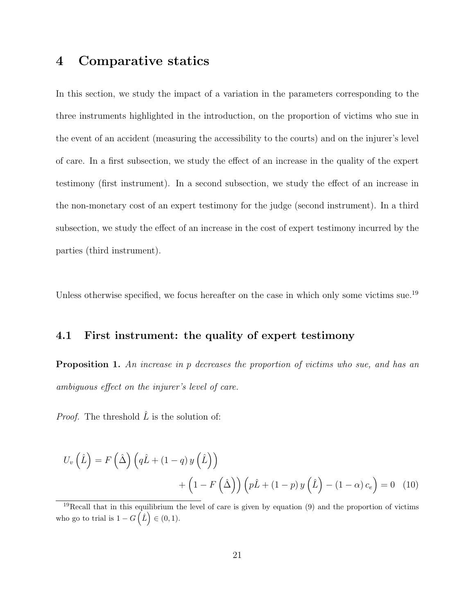### 4 Comparative statics

In this section, we study the impact of a variation in the parameters corresponding to the three instruments highlighted in the introduction, on the proportion of victims who sue in the event of an accident (measuring the accessibility to the courts) and on the injurer's level of care. In a first subsection, we study the effect of an increase in the quality of the expert testimony (first instrument). In a second subsection, we study the effect of an increase in the non-monetary cost of an expert testimony for the judge (second instrument). In a third subsection, we study the effect of an increase in the cost of expert testimony incurred by the parties (third instrument).

Unless otherwise specified, we focus hereafter on the case in which only some victims sue.<sup>19</sup>

#### 4.1 First instrument: the quality of expert testimony

**Proposition 1.** An increase in p decreases the proportion of victims who sue, and has an ambiguous effect on the injurer's level of care.

*Proof.* The threshold  $\hat{L}$  is the solution of:

$$
U_v(\hat{L}) = F(\hat{\Delta}) \left( q\hat{L} + (1-q) y(\hat{L}) \right)
$$

$$
+ \left( 1 - F(\hat{\Delta}) \right) \left( p\hat{L} + (1-p) y(\hat{L}) - (1-\alpha) c_e \right) = 0 \quad (10)
$$

 $19$ Recall that in this equilibrium the level of care is given by equation (9) and the proportion of victims who go to trial is  $1 - G(\hat{L}) \in (0, 1)$ .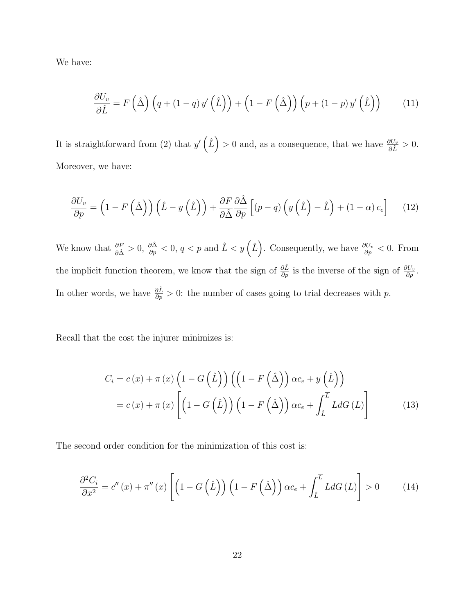We have:

$$
\frac{\partial U_v}{\partial \hat{L}} = F\left(\hat{\Delta}\right) \left(q + (1-q) y'\left(\hat{L}\right)\right) + \left(1 - F\left(\hat{\Delta}\right)\right) \left(p + (1-p) y'\left(\hat{L}\right)\right) \tag{11}
$$

It is straightforward from (2) that  $y'(\hat{L}) > 0$  and, as a consequence, that we have  $\frac{\partial U_v}{\partial \hat{L}} > 0$ . Moreover, we have:

$$
\frac{\partial U_v}{\partial p} = \left(1 - F\left(\hat{\Delta}\right)\right)\left(\hat{L} - y\left(\hat{L}\right)\right) + \frac{\partial F}{\partial \hat{\Delta}}\frac{\partial \hat{\Delta}}{\partial p}\left[(p - q)\left(y\left(\hat{L}\right) - \hat{L}\right) + (1 - \alpha)c_e\right] \tag{12}
$$

We know that  $\frac{\partial F}{\partial \hat{\Delta}} > 0$ ,  $\frac{\partial \hat{\Delta}}{\partial p} < 0$ ,  $q < p$  and  $\hat{L} < y\left(\hat{L}\right)$ . Consequently, we have  $\frac{\partial U_v}{\partial p} < 0$ . From the implicit function theorem, we know that the sign of  $\frac{\partial \hat{L}}{\partial p}$  is the inverse of the sign of  $\frac{\partial U_v}{\partial p}$ . In other words, we have  $\frac{\partial \hat{L}}{\partial p} > 0$ : the number of cases going to trial decreases with p.

Recall that the cost the injurer minimizes is:

$$
C_{i} = c(x) + \pi(x) \left(1 - G\left(\hat{L}\right)\right) \left(\left(1 - F\left(\hat{\Delta}\right)\right) \alpha c_{e} + y\left(\hat{L}\right)\right)
$$

$$
= c(x) + \pi(x) \left[\left(1 - G\left(\hat{L}\right)\right) \left(1 - F\left(\hat{\Delta}\right)\right) \alpha c_{e} + \int_{\hat{L}}^{\overline{L}} L dG\left(L\right)\right]
$$
(13)

The second order condition for the minimization of this cost is:

$$
\frac{\partial^2 C_i}{\partial x^2} = c''(x) + \pi''(x) \left[ \left( 1 - G\left(\hat{L}\right) \right) \left( 1 - F\left(\hat{\Delta}\right) \right) \alpha c_e + \int_{\hat{L}}^{\overline{L}} L dG\left(L\right) \right] > 0 \tag{14}
$$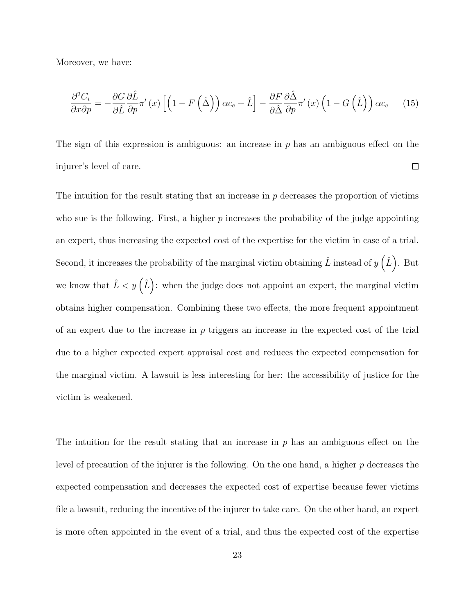Moreover, we have:

$$
\frac{\partial^2 C_i}{\partial x \partial p} = -\frac{\partial G}{\partial \hat{L}} \frac{\partial \hat{L}}{\partial p} \pi'(x) \left[ \left( 1 - F\left( \hat{\Delta} \right) \right) \alpha c_e + \hat{L} \right] - \frac{\partial F}{\partial \hat{\Delta}} \frac{\partial \hat{\Delta}}{\partial p} \pi'(x) \left( 1 - G\left( \hat{L} \right) \right) \alpha c_e \tag{15}
$$

The sign of this expression is ambiguous: an increase in  $p$  has an ambiguous effect on the injurer's level of care.  $\Box$ 

The intuition for the result stating that an increase in  $p$  decreases the proportion of victims who sue is the following. First, a higher  $p$  increases the probability of the judge appointing an expert, thus increasing the expected cost of the expertise for the victim in case of a trial. Second, it increases the probability of the marginal victim obtaining  $\hat{L}$  instead of  $y\left(\hat{L}\right)$ . But we know that  $\hat{L} < y(\hat{L})$ : when the judge does not appoint an expert, the marginal victim obtains higher compensation. Combining these two effects, the more frequent appointment of an expert due to the increase in  $p$  triggers an increase in the expected cost of the trial due to a higher expected expert appraisal cost and reduces the expected compensation for the marginal victim. A lawsuit is less interesting for her: the accessibility of justice for the victim is weakened.

The intuition for the result stating that an increase in  $p$  has an ambiguous effect on the level of precaution of the injurer is the following. On the one hand, a higher  $p$  decreases the expected compensation and decreases the expected cost of expertise because fewer victims file a lawsuit, reducing the incentive of the injurer to take care. On the other hand, an expert is more often appointed in the event of a trial, and thus the expected cost of the expertise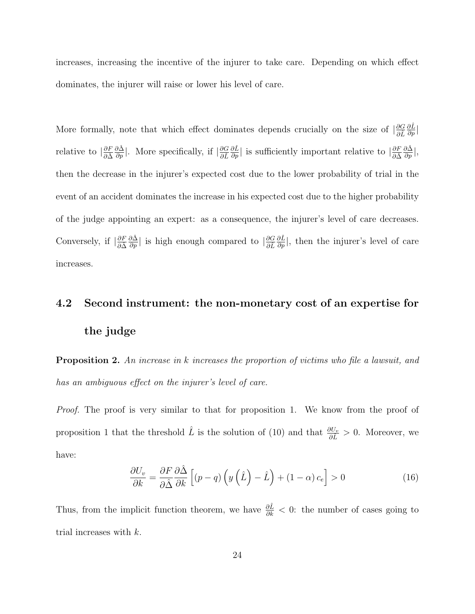increases, increasing the incentive of the injurer to take care. Depending on which effect dominates, the injurer will raise or lower his level of care.

More formally, note that which effect dominates depends crucially on the size of  $\frac{\partial G}{\partial \hat{L}}$  $\frac{\partial \hat{L}}{\partial p}\big|$ relative to  $\left|\frac{\partial F}{\partial \hat{\Delta}}\right|$  $\frac{\partial \hat{\Delta}}{\partial p}$ . More specifically, if  $\left| \frac{\partial G}{\partial \hat{L}} \right|$  $\frac{\partial \hat{L}}{\partial p}$ | is sufficiently important relative to  $\left| \frac{\partial F}{\partial \hat{\Delta}} \right|$  $\frac{\partial \hat{\Delta}}{\partial p}|,$ then the decrease in the injurer's expected cost due to the lower probability of trial in the event of an accident dominates the increase in his expected cost due to the higher probability of the judge appointing an expert: as a consequence, the injurer's level of care decreases. Conversely, if  $\left| \frac{\partial F}{\partial \hat{\Delta}} \right|$  $\frac{\partial \hat{\Delta}}{\partial p}$ | is high enough compared to  $\left| \frac{\partial G}{\partial \hat{L}} \right|$  $\frac{\partial \hat{L}}{\partial p}$ , then the injurer's level of care increases.

# 4.2 Second instrument: the non-monetary cost of an expertise for the judge

**Proposition 2.** An increase in k increases the proportion of victims who file a lawsuit, and has an ambiguous effect on the injurer's level of care.

Proof. The proof is very similar to that for proposition 1. We know from the proof of proposition 1 that the threshold  $\hat{L}$  is the solution of (10) and that  $\frac{\partial U_v}{\partial \hat{L}} > 0$ . Moreover, we have:

$$
\frac{\partial U_v}{\partial k} = \frac{\partial F}{\partial \hat{\Delta}} \frac{\partial \hat{\Delta}}{\partial k} \left[ (p - q) \left( y \left( \hat{L} \right) - \hat{L} \right) + (1 - \alpha) c_e \right] > 0 \tag{16}
$$

Thus, from the implicit function theorem, we have  $\frac{\partial \hat{L}}{\partial k} < 0$ : the number of cases going to trial increases with k.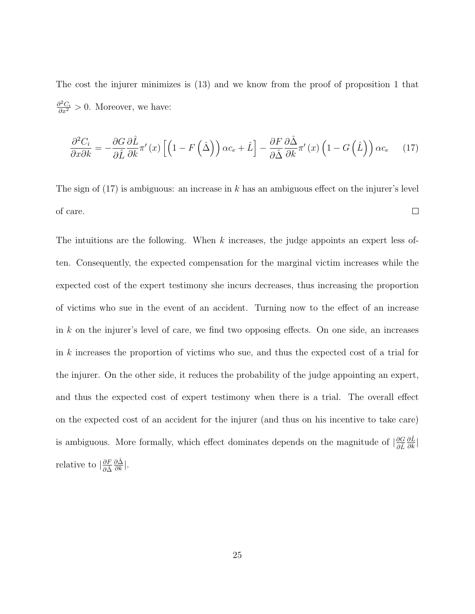The cost the injurer minimizes is (13) and we know from the proof of proposition 1 that  $\frac{\partial^2 C_i}{\partial x^2} > 0$ . Moreover, we have:

$$
\frac{\partial^2 C_i}{\partial x \partial k} = -\frac{\partial G}{\partial \hat{L}} \frac{\partial \hat{L}}{\partial k} \pi'(x) \left[ \left( 1 - F\left( \hat{\Delta} \right) \right) \alpha c_e + \hat{L} \right] - \frac{\partial F}{\partial \hat{\Delta}} \frac{\partial \hat{\Delta}}{\partial k} \pi'(x) \left( 1 - G\left( \hat{L} \right) \right) \alpha c_e \tag{17}
$$

The sign of  $(17)$  is ambiguous: an increase in k has an ambiguous effect on the injurer's level of care.  $\Box$ 

The intuitions are the following. When  $k$  increases, the judge appoints an expert less often. Consequently, the expected compensation for the marginal victim increases while the expected cost of the expert testimony she incurs decreases, thus increasing the proportion of victims who sue in the event of an accident. Turning now to the effect of an increase in  $k$  on the injurer's level of care, we find two opposing effects. On one side, an increases in k increases the proportion of victims who sue, and thus the expected cost of a trial for the injurer. On the other side, it reduces the probability of the judge appointing an expert, and thus the expected cost of expert testimony when there is a trial. The overall effect on the expected cost of an accident for the injurer (and thus on his incentive to take care) is ambiguous. More formally, which effect dominates depends on the magnitude of  $\frac{\partial G}{\partial \hat{L}}$  $\frac{\partial \hat{L}}{\partial k}\big|$ relative to  $\left|\frac{\partial F}{\partial \hat{\Delta}}\right|$  $\frac{\partial \hat{\Delta}}{\partial k}|.$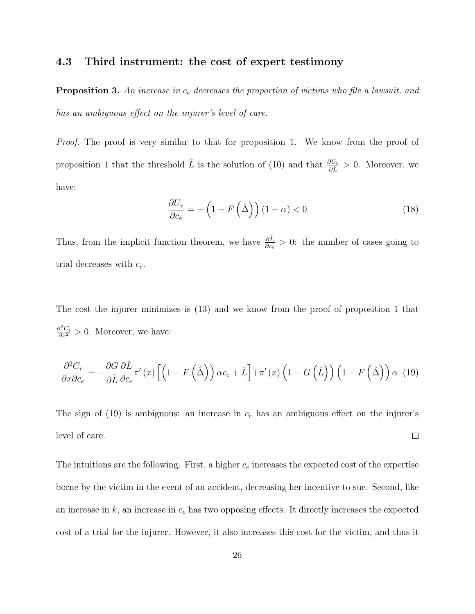#### 4.3 Third instrument: the cost of expert testimony

**Proposition 3.** An increase in  $c_e$  decreases the proportion of victims who file a lawsuit, and has an ambiguous effect on the injurer's level of care.

Proof. The proof is very similar to that for proposition 1. We know from the proof of proposition 1 that the threshold  $\hat{L}$  is the solution of (10) and that  $\frac{\partial U_v}{\partial \hat{L}} > 0$ . Moreover, we have:

$$
\frac{\partial U_v}{\partial c_e} = -\left(1 - F\left(\hat{\Delta}\right)\right)(1 - \alpha) < 0\tag{18}
$$

Thus, from the implicit function theorem, we have  $\frac{\partial \hat{L}}{\partial c_e} > 0$ : the number of cases going to trial decreases with  $c_e$ .

The cost the injurer minimizes is (13) and we know from the proof of proposition 1 that  $\frac{\partial^2 C_i}{\partial x^2} > 0$ . Moreover, we have:

$$
\frac{\partial^2 C_i}{\partial x \partial c_e} = -\frac{\partial G}{\partial \hat{L}} \frac{\partial \hat{L}}{\partial c_e} \pi'(x) \left[ \left( 1 - F\left( \hat{\Delta} \right) \right) \alpha c_e + \hat{L} \right] + \pi'(x) \left( 1 - G\left( \hat{L} \right) \right) \left( 1 - F\left( \hat{\Delta} \right) \right) \alpha (19)
$$

The sign of  $(19)$  is ambiguous: an increase in  $c_e$  has an ambiguous effect on the injurer's level of care.  $\Box$ 

The intuitions are the following. First, a higher  $c_e$  increases the expected cost of the expertise borne by the victim in the event of an accident, decreasing her incentive to sue. Second, like an increase in  $k$ , an increase in  $c_e$  has two opposing effects. It directly increases the expected cost of a trial for the injurer. However, it also increases this cost for the victim, and thus it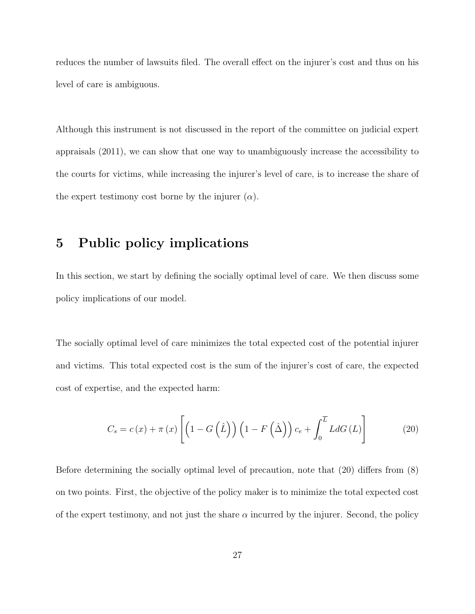reduces the number of lawsuits filed. The overall effect on the injurer's cost and thus on his level of care is ambiguous.

Although this instrument is not discussed in the report of the committee on judicial expert appraisals (2011), we can show that one way to unambiguously increase the accessibility to the courts for victims, while increasing the injurer's level of care, is to increase the share of the expert testimony cost borne by the injurer  $(\alpha)$ .

### 5 Public policy implications

In this section, we start by defining the socially optimal level of care. We then discuss some policy implications of our model.

The socially optimal level of care minimizes the total expected cost of the potential injurer and victims. This total expected cost is the sum of the injurer's cost of care, the expected cost of expertise, and the expected harm:

$$
C_s = c(x) + \pi(x) \left[ \left( 1 - G\left(\hat{L}\right) \right) \left( 1 - F\left(\hat{\Delta}\right) \right) c_e + \int_0^{\overline{L}} L dG\left(L\right) \right] \tag{20}
$$

Before determining the socially optimal level of precaution, note that (20) differs from (8) on two points. First, the objective of the policy maker is to minimize the total expected cost of the expert testimony, and not just the share  $\alpha$  incurred by the injurer. Second, the policy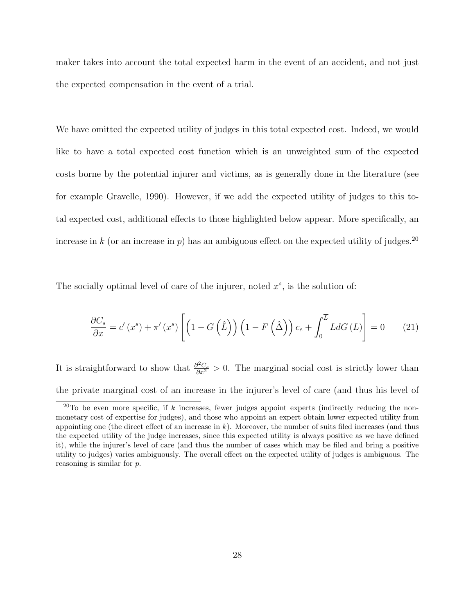maker takes into account the total expected harm in the event of an accident, and not just the expected compensation in the event of a trial.

We have omitted the expected utility of judges in this total expected cost. Indeed, we would like to have a total expected cost function which is an unweighted sum of the expected costs borne by the potential injurer and victims, as is generally done in the literature (see for example Gravelle, 1990). However, if we add the expected utility of judges to this total expected cost, additional effects to those highlighted below appear. More specifically, an increase in k (or an increase in p) has an ambiguous effect on the expected utility of judges.<sup>20</sup>

The socially optimal level of care of the injurer, noted  $x^s$ , is the solution of:

$$
\frac{\partial C_s}{\partial x} = c'(x^s) + \pi'(x^s) \left[ \left( 1 - G\left(\hat{L}\right) \right) \left( 1 - F\left(\hat{\Delta}\right) \right) c_e + \int_0^{\overline{L}} L dG\left(L\right) \right] = 0 \tag{21}
$$

It is straightforward to show that  $\frac{\partial^2 C_s}{\partial x^2} > 0$ . The marginal social cost is strictly lower than the private marginal cost of an increase in the injurer's level of care (and thus his level of

 $20$ To be even more specific, if k increases, fewer judges appoint experts (indirectly reducing the nonmonetary cost of expertise for judges), and those who appoint an expert obtain lower expected utility from appointing one (the direct effect of an increase in  $k$ ). Moreover, the number of suits filed increases (and thus the expected utility of the judge increases, since this expected utility is always positive as we have defined it), while the injurer's level of care (and thus the number of cases which may be filed and bring a positive utility to judges) varies ambiguously. The overall effect on the expected utility of judges is ambiguous. The reasoning is similar for p.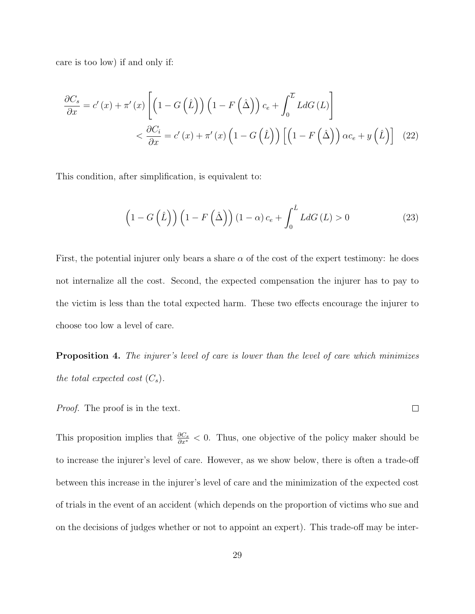care is too low) if and only if:

$$
\frac{\partial C_s}{\partial x} = c'(x) + \pi'(x) \left[ \left( 1 - G\left(\hat{L}\right) \right) \left( 1 - F\left(\hat{\Delta}\right) \right) c_e + \int_0^{\overline{L}} L dG\left(L\right) \right] \n< \frac{\partial C_i}{\partial x} = c'(x) + \pi'(x) \left( 1 - G\left(\hat{L}\right) \right) \left[ \left( 1 - F\left(\hat{\Delta}\right) \right) \alpha c_e + y\left(\hat{L}\right) \right] \tag{22}
$$

This condition, after simplification, is equivalent to:

$$
\left(1 - G\left(\hat{L}\right)\right) \left(1 - F\left(\hat{\Delta}\right)\right) \left(1 - \alpha\right) c_e + \int_0^{\hat{L}} L dG\left(L\right) > 0 \tag{23}
$$

First, the potential injurer only bears a share  $\alpha$  of the cost of the expert testimony: he does not internalize all the cost. Second, the expected compensation the injurer has to pay to the victim is less than the total expected harm. These two effects encourage the injurer to choose too low a level of care.

**Proposition 4.** The injurer's level of care is lower than the level of care which minimizes the total expected cost  $(C_s)$ .

Proof. The proof is in the text.

This proposition implies that  $\frac{\partial C_s}{\partial x^*} < 0$ . Thus, one objective of the policy maker should be to increase the injurer's level of care. However, as we show below, there is often a trade-off between this increase in the injurer's level of care and the minimization of the expected cost of trials in the event of an accident (which depends on the proportion of victims who sue and on the decisions of judges whether or not to appoint an expert). This trade-off may be inter-

 $\Box$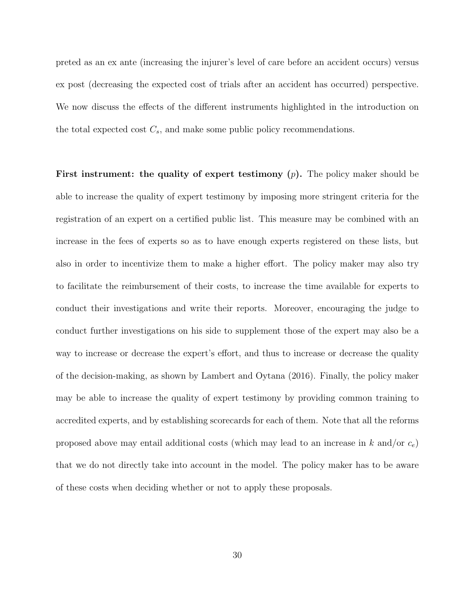preted as an ex ante (increasing the injurer's level of care before an accident occurs) versus ex post (decreasing the expected cost of trials after an accident has occurred) perspective. We now discuss the effects of the different instruments highlighted in the introduction on the total expected cost  $C_s$ , and make some public policy recommendations.

First instrument: the quality of expert testimony  $(p)$ . The policy maker should be able to increase the quality of expert testimony by imposing more stringent criteria for the registration of an expert on a certified public list. This measure may be combined with an increase in the fees of experts so as to have enough experts registered on these lists, but also in order to incentivize them to make a higher effort. The policy maker may also try to facilitate the reimbursement of their costs, to increase the time available for experts to conduct their investigations and write their reports. Moreover, encouraging the judge to conduct further investigations on his side to supplement those of the expert may also be a way to increase or decrease the expert's effort, and thus to increase or decrease the quality of the decision-making, as shown by Lambert and Oytana (2016). Finally, the policy maker may be able to increase the quality of expert testimony by providing common training to accredited experts, and by establishing scorecards for each of them. Note that all the reforms proposed above may entail additional costs (which may lead to an increase in k and/or  $c_e$ ) that we do not directly take into account in the model. The policy maker has to be aware of these costs when deciding whether or not to apply these proposals.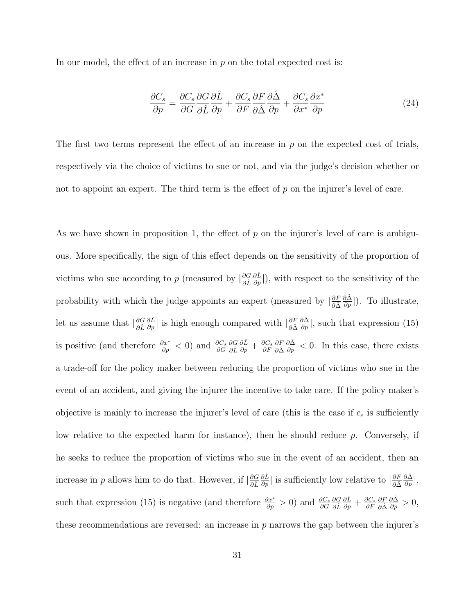In our model, the effect of an increase in  $p$  on the total expected cost is:

$$
\frac{\partial C_s}{\partial p} = \frac{\partial C_s}{\partial G} \frac{\partial G}{\partial \hat{L}} \frac{\partial \hat{L}}{\partial p} + \frac{\partial C_s}{\partial F} \frac{\partial F}{\partial \hat{\Delta}} \frac{\partial \hat{\Delta}}{\partial p} + \frac{\partial C_s}{\partial x^*} \frac{\partial x^*}{\partial p}
$$
(24)

The first two terms represent the effect of an increase in  $p$  on the expected cost of trials, respectively via the choice of victims to sue or not, and via the judge's decision whether or not to appoint an expert. The third term is the effect of  $p$  on the injurer's level of care.

As we have shown in proposition 1, the effect of  $p$  on the injurer's level of care is ambiguous. More specifically, the sign of this effect depends on the sensitivity of the proportion of victims who sue according to p (measured by  $\left|\frac{\partial G}{\partial \hat{L}}\right|$  $\frac{\partial \hat{L}}{\partial p}$ ), with respect to the sensitivity of the probability with which the judge appoints an expert (measured by  $\left|\frac{\partial F}{\partial \hat{\Delta}}\right|$  $\frac{\partial \hat{\Delta}}{\partial p}$ |). To illustrate, let us assume that  $\left|\frac{\partial G}{\partial \hat{L}}\right|$  $\frac{\partial \hat{L}}{\partial p}$ | is high enough compared with  $\left|\frac{\partial F}{\partial \hat{\Delta}}\right|$  $\frac{\partial \hat{\Delta}}{\partial p}$ , such that expression (15) is positive (and therefore  $\frac{\partial x^*}{\partial p} < 0$ ) and  $\frac{\partial C_s}{\partial G}$ ∂G<br>∂L  $\frac{\partial \hat{L}}{\partial p}+\frac{\partial C_s}{\partial F}$ ∂F ∂F ∂∆ˆ  $\frac{\partial \hat{\Delta}}{\partial p} < 0$ . In this case, there exists a trade-off for the policy maker between reducing the proportion of victims who sue in the event of an accident, and giving the injurer the incentive to take care. If the policy maker's objective is mainly to increase the injurer's level of care (this is the case if  $c_e$  is sufficiently low relative to the expected harm for instance), then he should reduce  $p$ . Conversely, if he seeks to reduce the proportion of victims who sue in the event of an accident, then an increase in p allows him to do that. However, if  $\vert \frac{\partial G}{\partial \hat{L}} \vert$  $\frac{\partial \hat{L}}{\partial p}|$  is sufficiently low relative to  $|\frac{\partial F}{\partial \hat{\Delta}}$  $\frac{\partial \hat{\Delta}}{\partial p}|,$ such that expression (15) is negative (and therefore  $\frac{\partial x^*}{\partial p} > 0$ ) and  $\frac{\partial C_s}{\partial G}$ ∂G<br>∂L  $\frac{\partial \hat{L}}{\partial p}+\frac{\partial C_s}{\partial F}$ ∂F ∂F ∂∆ˆ  $\frac{\partial \hat{\Delta}}{\partial p} > 0,$ these recommendations are reversed: an increase in  $p$  narrows the gap between the injurer's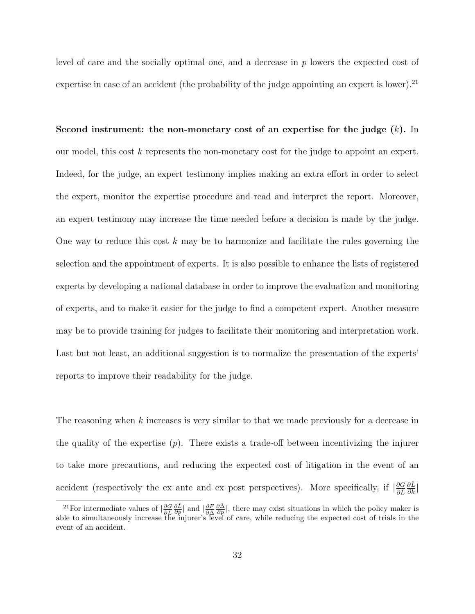level of care and the socially optimal one, and a decrease in p lowers the expected cost of expertise in case of an accident (the probability of the judge appointing an expert is lower).<sup>21</sup>

Second instrument: the non-monetary cost of an expertise for the judge  $(k)$ . In our model, this cost k represents the non-monetary cost for the judge to appoint an expert. Indeed, for the judge, an expert testimony implies making an extra effort in order to select the expert, monitor the expertise procedure and read and interpret the report. Moreover, an expert testimony may increase the time needed before a decision is made by the judge. One way to reduce this cost  $k$  may be to harmonize and facilitate the rules governing the selection and the appointment of experts. It is also possible to enhance the lists of registered experts by developing a national database in order to improve the evaluation and monitoring of experts, and to make it easier for the judge to find a competent expert. Another measure may be to provide training for judges to facilitate their monitoring and interpretation work. Last but not least, an additional suggestion is to normalize the presentation of the experts' reports to improve their readability for the judge.

The reasoning when k increases is very similar to that we made previously for a decrease in the quality of the expertise  $(p)$ . There exists a trade-off between incentivizing the injurer to take more precautions, and reducing the expected cost of litigation in the event of an accident (respectively the ex ante and ex post perspectives). More specifically, if  $\frac{\partial G}{\partial \hat{L}}$  $\frac{\partial \hat{L}}{\partial k}\big|$ 

<sup>&</sup>lt;sup>21</sup>For intermediate values of  $\left|\frac{\partial G}{\partial \hat{L}}\right|$  $\frac{\partial \hat{L}}{\partial p}$ | and  $\frac{\partial F}{\partial \hat{\Delta}}$  $\frac{\partial \hat{\Delta}}{\partial p}$ , there may exist situations in which the policy maker is able to simultaneously increase the injurer's level of care, while reducing the expected cost of trials in the event of an accident.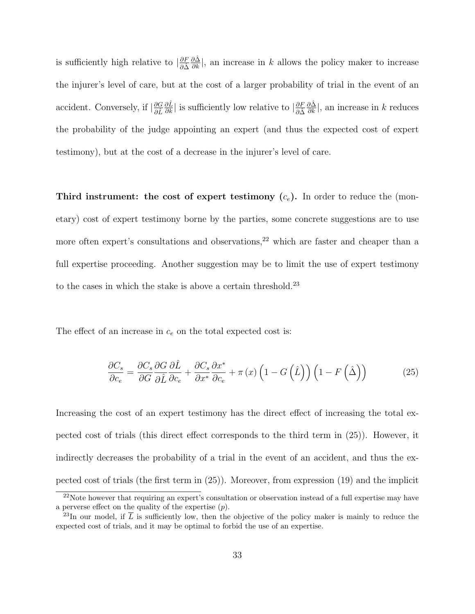is sufficiently high relative to  $\left|\frac{\partial F}{\partial \hat{\Delta}}\right|$  $\frac{\partial \hat{\Delta}}{\partial k}$ , an increase in k allows the policy maker to increase the injurer's level of care, but at the cost of a larger probability of trial in the event of an accident. Conversely, if  $\left|\frac{\partial G}{\partial \hat{L}}\right|$  $\frac{\partial \hat{L}}{\partial k}|$  is sufficiently low relative to  $|\frac{\partial F}{\partial \hat{\Delta}}$  $\frac{\partial \hat{\Delta}}{\partial k}$ , an increase in k reduces the probability of the judge appointing an expert (and thus the expected cost of expert testimony), but at the cost of a decrease in the injurer's level of care.

Third instrument: the cost of expert testimony  $(c_e)$ . In order to reduce the (monetary) cost of expert testimony borne by the parties, some concrete suggestions are to use more often expert's consultations and observations, $22$  which are faster and cheaper than a full expertise proceeding. Another suggestion may be to limit the use of expert testimony to the cases in which the stake is above a certain threshold.<sup>23</sup>

The effect of an increase in  $c_e$  on the total expected cost is:

$$
\frac{\partial C_s}{\partial c_e} = \frac{\partial C_s}{\partial G} \frac{\partial G}{\partial \hat{L}} \frac{\partial \hat{L}}{\partial c_e} + \frac{\partial C_s}{\partial x^*} \frac{\partial x^*}{\partial c_e} + \pi(x) \left( 1 - G\left(\hat{L}\right)\right) \left( 1 - F\left(\hat{\Delta}\right)\right) \tag{25}
$$

Increasing the cost of an expert testimony has the direct effect of increasing the total expected cost of trials (this direct effect corresponds to the third term in (25)). However, it indirectly decreases the probability of a trial in the event of an accident, and thus the expected cost of trials (the first term in (25)). Moreover, from expression (19) and the implicit

<sup>&</sup>lt;sup>22</sup>Note however that requiring an expert's consultation or observation instead of a full expertise may have a perverse effect on the quality of the expertise  $(p)$ .

<sup>&</sup>lt;sup>23</sup>In our model, if  $\overline{L}$  is sufficiently low, then the objective of the policy maker is mainly to reduce the expected cost of trials, and it may be optimal to forbid the use of an expertise.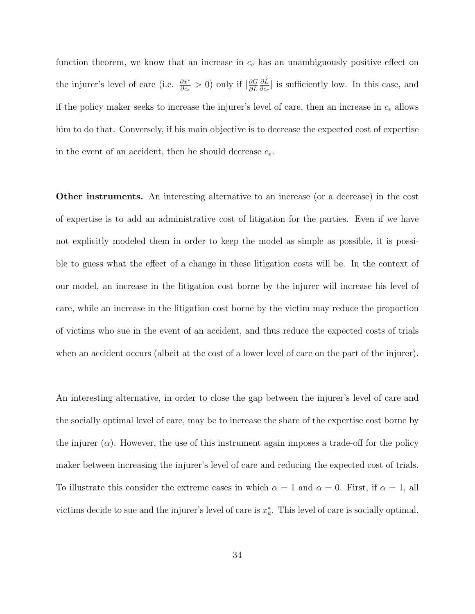function theorem, we know that an increase in  $c_e$  has an unambiguously positive effect on the injurer's level of care (i.e.  $\frac{\partial x^*}{\partial c_e} > 0$ ) only if  $\left| \frac{\partial G}{\partial \hat{L}} \right|$ ∂Lˆ  $\frac{\partial L}{\partial c_e}$  is sufficiently low. In this case, and if the policy maker seeks to increase the injurer's level of care, then an increase in  $c_e$  allows him to do that. Conversely, if his main objective is to decrease the expected cost of expertise in the event of an accident, then he should decrease  $c_e$ .

Other instruments. An interesting alternative to an increase (or a decrease) in the cost of expertise is to add an administrative cost of litigation for the parties. Even if we have not explicitly modeled them in order to keep the model as simple as possible, it is possible to guess what the effect of a change in these litigation costs will be. In the context of our model, an increase in the litigation cost borne by the injurer will increase his level of care, while an increase in the litigation cost borne by the victim may reduce the proportion of victims who sue in the event of an accident, and thus reduce the expected costs of trials when an accident occurs (albeit at the cost of a lower level of care on the part of the injurer).

An interesting alternative, in order to close the gap between the injurer's level of care and the socially optimal level of care, may be to increase the share of the expertise cost borne by the injurer  $(\alpha)$ . However, the use of this instrument again imposes a trade-off for the policy maker between increasing the injurer's level of care and reducing the expected cost of trials. To illustrate this consider the extreme cases in which  $\alpha = 1$  and  $\alpha = 0$ . First, if  $\alpha = 1$ , all victims decide to sue and the injurer's level of care is  $x_a^*$ . This level of care is socially optimal.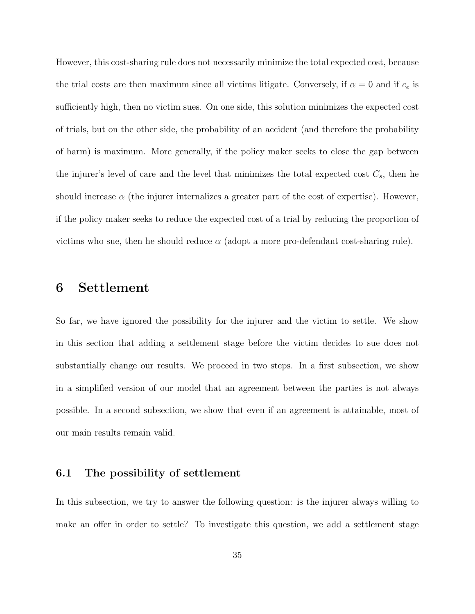However, this cost-sharing rule does not necessarily minimize the total expected cost, because the trial costs are then maximum since all victims litigate. Conversely, if  $\alpha = 0$  and if  $c_e$  is sufficiently high, then no victim sues. On one side, this solution minimizes the expected cost of trials, but on the other side, the probability of an accident (and therefore the probability of harm) is maximum. More generally, if the policy maker seeks to close the gap between the injurer's level of care and the level that minimizes the total expected cost  $C_s$ , then he should increase  $\alpha$  (the injurer internalizes a greater part of the cost of expertise). However, if the policy maker seeks to reduce the expected cost of a trial by reducing the proportion of victims who sue, then he should reduce  $\alpha$  (adopt a more pro-defendant cost-sharing rule).

### 6 Settlement

So far, we have ignored the possibility for the injurer and the victim to settle. We show in this section that adding a settlement stage before the victim decides to sue does not substantially change our results. We proceed in two steps. In a first subsection, we show in a simplified version of our model that an agreement between the parties is not always possible. In a second subsection, we show that even if an agreement is attainable, most of our main results remain valid.

#### 6.1 The possibility of settlement

In this subsection, we try to answer the following question: is the injurer always willing to make an offer in order to settle? To investigate this question, we add a settlement stage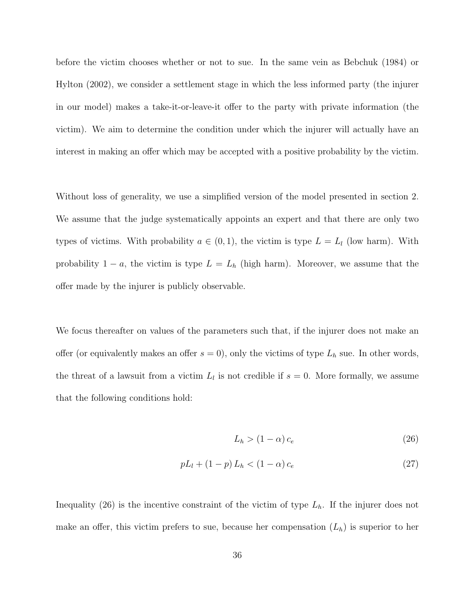before the victim chooses whether or not to sue. In the same vein as Bebchuk (1984) or Hylton (2002), we consider a settlement stage in which the less informed party (the injurer in our model) makes a take-it-or-leave-it offer to the party with private information (the victim). We aim to determine the condition under which the injurer will actually have an interest in making an offer which may be accepted with a positive probability by the victim.

Without loss of generality, we use a simplified version of the model presented in section 2. We assume that the judge systematically appoints an expert and that there are only two types of victims. With probability  $a \in (0,1)$ , the victim is type  $L = L_l$  (low harm). With probability  $1 - a$ , the victim is type  $L = L_h$  (high harm). Moreover, we assume that the offer made by the injurer is publicly observable.

We focus thereafter on values of the parameters such that, if the injurer does not make an offer (or equivalently makes an offer  $s = 0$ ), only the victims of type  $L<sub>h</sub>$  sue. In other words, the threat of a lawsuit from a victim  $L_l$  is not credible if  $s = 0$ . More formally, we assume that the following conditions hold:

$$
L_h > (1 - \alpha) c_e \tag{26}
$$

$$
pL_l + (1 - p)L_h < (1 - \alpha)c_e \tag{27}
$$

Inequality (26) is the incentive constraint of the victim of type  $L<sub>h</sub>$ . If the injurer does not make an offer, this victim prefers to sue, because her compensation  $(L_h)$  is superior to her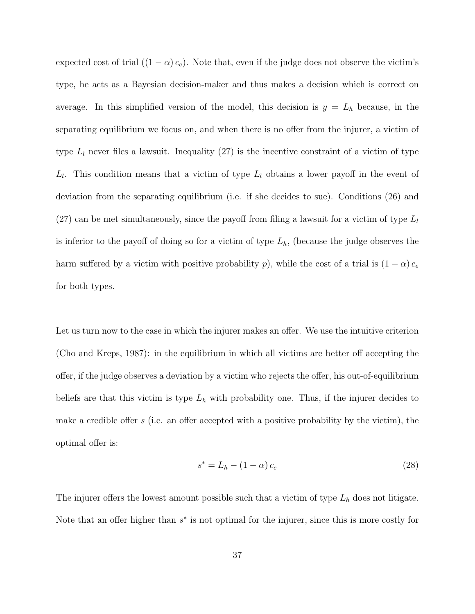expected cost of trial  $((1 - \alpha) c_e)$ . Note that, even if the judge does not observe the victim's type, he acts as a Bayesian decision-maker and thus makes a decision which is correct on average. In this simplified version of the model, this decision is  $y = L<sub>h</sub>$  because, in the separating equilibrium we focus on, and when there is no offer from the injurer, a victim of type  $L_l$  never files a lawsuit. Inequality (27) is the incentive constraint of a victim of type  $L_l$ . This condition means that a victim of type  $L_l$  obtains a lower payoff in the event of deviation from the separating equilibrium (i.e. if she decides to sue). Conditions (26) and  $(27)$  can be met simultaneously, since the payoff from filing a lawsuit for a victim of type  $L_l$ is inferior to the payoff of doing so for a victim of type  $L<sub>h</sub>$ , (because the judge observes the harm suffered by a victim with positive probability p), while the cost of a trial is  $(1 - \alpha) c_e$ for both types.

Let us turn now to the case in which the injurer makes an offer. We use the intuitive criterion (Cho and Kreps, 1987): in the equilibrium in which all victims are better off accepting the offer, if the judge observes a deviation by a victim who rejects the offer, his out-of-equilibrium beliefs are that this victim is type  $L_h$  with probability one. Thus, if the injurer decides to make a credible offer s (i.e. an offer accepted with a positive probability by the victim), the optimal offer is:

$$
s^* = L_h - (1 - \alpha) c_e \tag{28}
$$

The injurer offers the lowest amount possible such that a victim of type  $L<sub>h</sub>$  does not litigate. Note that an offer higher than  $s^*$  is not optimal for the injurer, since this is more costly for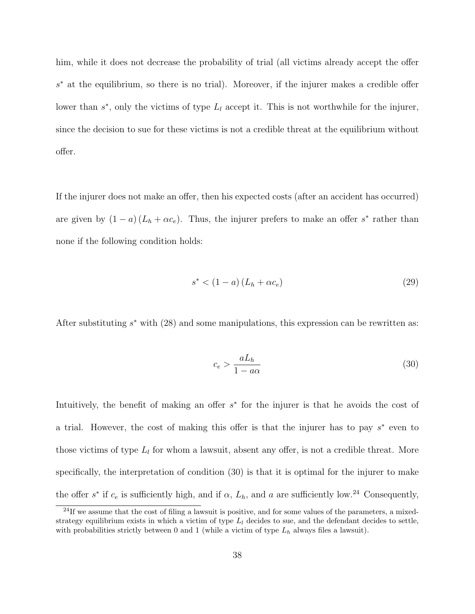him, while it does not decrease the probability of trial (all victims already accept the offer s <sup>∗</sup> at the equilibrium, so there is no trial). Moreover, if the injurer makes a credible offer lower than  $s^*$ , only the victims of type  $L_l$  accept it. This is not worthwhile for the injurer, since the decision to sue for these victims is not a credible threat at the equilibrium without offer.

If the injurer does not make an offer, then his expected costs (after an accident has occurred) are given by  $(1 - a) (L_h + \alpha c_e)$ . Thus, the injurer prefers to make an offer s<sup>\*</sup> rather than none if the following condition holds:

$$
s^* < (1 - a)(L_h + \alpha c_e) \tag{29}
$$

After substituting  $s^*$  with (28) and some manipulations, this expression can be rewritten as:

$$
c_e > \frac{aL_h}{1 - a\alpha} \tag{30}
$$

Intuitively, the benefit of making an offer  $s^*$  for the injurer is that he avoids the cost of a trial. However, the cost of making this offer is that the injurer has to pay  $s^*$  even to those victims of type  $L_l$  for whom a lawsuit, absent any offer, is not a credible threat. More specifically, the interpretation of condition (30) is that it is optimal for the injurer to make the offer  $s^*$  if  $c_e$  is sufficiently high, and if  $\alpha$ ,  $L_h$ , and a are sufficiently low.<sup>24</sup> Consequently,

 $^{24}$ If we assume that the cost of filing a lawsuit is positive, and for some values of the parameters, a mixedstrategy equilibrium exists in which a victim of type  $L_l$  decides to sue, and the defendant decides to settle, with probabilities strictly between 0 and 1 (while a victim of type  $L_h$  always files a lawsuit).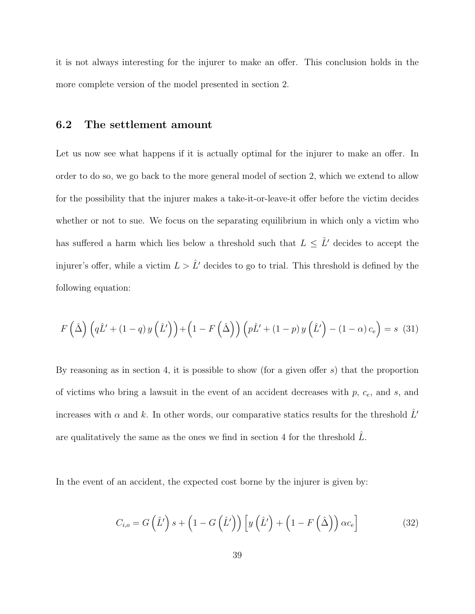it is not always interesting for the injurer to make an offer. This conclusion holds in the more complete version of the model presented in section 2.

#### 6.2 The settlement amount

Let us now see what happens if it is actually optimal for the injurer to make an offer. In order to do so, we go back to the more general model of section 2, which we extend to allow for the possibility that the injurer makes a take-it-or-leave-it offer before the victim decides whether or not to sue. We focus on the separating equilibrium in which only a victim who has suffered a harm which lies below a threshold such that  $L \leq \hat{L}'$  decides to accept the injurer's offer, while a victim  $L > \hat{L}'$  decides to go to trial. This threshold is defined by the following equation:

$$
F\left(\hat{\Delta}\right)\left(q\hat{L}' + (1-q)y\left(\hat{L}'\right)\right) + \left(1 - F\left(\hat{\Delta}\right)\right)\left(p\hat{L}' + (1-p)y\left(\hat{L}'\right) - (1-\alpha)c_e\right) = s\tag{31}
$$

By reasoning as in section 4, it is possible to show (for a given offer  $s$ ) that the proportion of victims who bring a lawsuit in the event of an accident decreases with  $p, c<sub>e</sub>$ , and  $s$ , and increases with  $\alpha$  and k. In other words, our comparative statics results for the threshold  $\hat{L}^{\prime}$ are qualitatively the same as the ones we find in section 4 for the threshold  $\tilde{L}$ .

In the event of an accident, the expected cost borne by the injurer is given by:

$$
C_{i,o} = G\left(\hat{L}'\right)s + \left(1 - G\left(\hat{L}'\right)\right)\left[y\left(\hat{L}'\right) + \left(1 - F\left(\hat{\Delta}\right)\right)\alpha c_e\right]
$$
(32)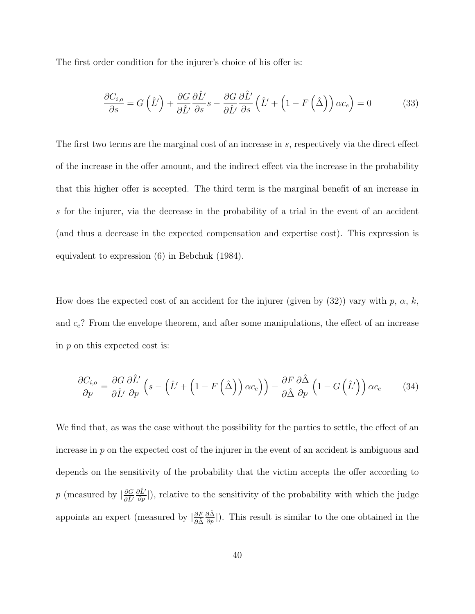The first order condition for the injurer's choice of his offer is:

$$
\frac{\partial C_{i,o}}{\partial s} = G\left(\hat{L}'\right) + \frac{\partial G}{\partial \hat{L}'}\frac{\partial \hat{L}'}{\partial s}s - \frac{\partial G}{\partial \hat{L}'}\frac{\partial \hat{L}'}{\partial s}\left(\hat{L}' + \left(1 - F\left(\hat{\Delta}\right)\right)\alpha c_e\right) = 0\tag{33}
$$

The first two terms are the marginal cost of an increase in s, respectively via the direct effect of the increase in the offer amount, and the indirect effect via the increase in the probability that this higher offer is accepted. The third term is the marginal benefit of an increase in s for the injurer, via the decrease in the probability of a trial in the event of an accident (and thus a decrease in the expected compensation and expertise cost). This expression is equivalent to expression (6) in Bebchuk (1984).

How does the expected cost of an accident for the injurer (given by  $(32)$ ) vary with p,  $\alpha$ , k, and  $c_e$ ? From the envelope theorem, and after some manipulations, the effect of an increase in  $p$  on this expected cost is:

$$
\frac{\partial C_{i,o}}{\partial p} = \frac{\partial G}{\partial \hat{L}'} \frac{\partial \hat{L}'}{\partial p} \left( s - \left( \hat{L}' + \left( 1 - F\left( \hat{\Delta} \right) \right) \alpha c_e \right) \right) - \frac{\partial F}{\partial \hat{\Delta}} \frac{\partial \hat{\Delta}}{\partial p} \left( 1 - G\left( \hat{L}' \right) \right) \alpha c_e \tag{34}
$$

We find that, as was the case without the possibility for the parties to settle, the effect of an increase in p on the expected cost of the injurer in the event of an accident is ambiguous and depends on the sensitivity of the probability that the victim accepts the offer according to p (measured by  $\left|\frac{\partial G}{\partial \hat{L}'}\right|$  $\frac{\partial \hat{L}'}{\partial p}$ ), relative to the sensitivity of the probability with which the judge appoints an expert (measured by  $\left|\frac{\partial F}{\partial \hat{\Delta}}\right|$  $\frac{\partial \hat{\Delta}}{\partial p}$ ). This result is similar to the one obtained in the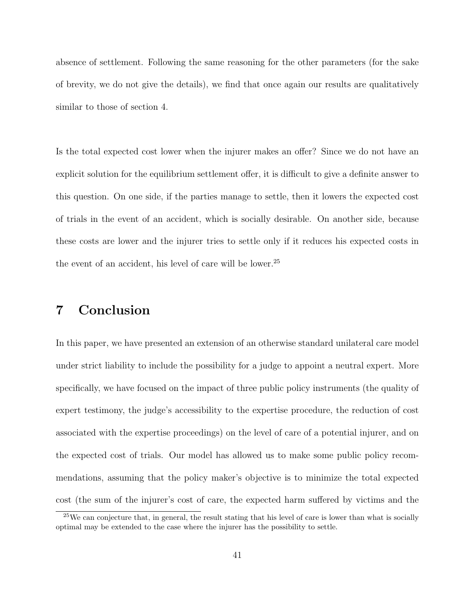absence of settlement. Following the same reasoning for the other parameters (for the sake of brevity, we do not give the details), we find that once again our results are qualitatively similar to those of section 4.

Is the total expected cost lower when the injurer makes an offer? Since we do not have an explicit solution for the equilibrium settlement offer, it is difficult to give a definite answer to this question. On one side, if the parties manage to settle, then it lowers the expected cost of trials in the event of an accident, which is socially desirable. On another side, because these costs are lower and the injurer tries to settle only if it reduces his expected costs in the event of an accident, his level of care will be lower.<sup>25</sup>

### 7 Conclusion

In this paper, we have presented an extension of an otherwise standard unilateral care model under strict liability to include the possibility for a judge to appoint a neutral expert. More specifically, we have focused on the impact of three public policy instruments (the quality of expert testimony, the judge's accessibility to the expertise procedure, the reduction of cost associated with the expertise proceedings) on the level of care of a potential injurer, and on the expected cost of trials. Our model has allowed us to make some public policy recommendations, assuming that the policy maker's objective is to minimize the total expected cost (the sum of the injurer's cost of care, the expected harm suffered by victims and the

 $25$ We can conjecture that, in general, the result stating that his level of care is lower than what is socially optimal may be extended to the case where the injurer has the possibility to settle.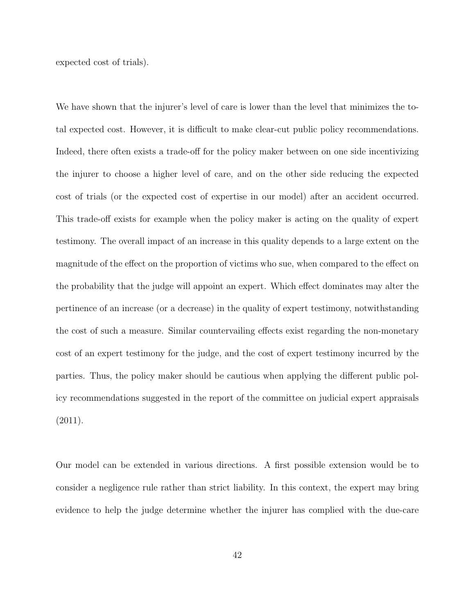expected cost of trials).

We have shown that the injurer's level of care is lower than the level that minimizes the total expected cost. However, it is difficult to make clear-cut public policy recommendations. Indeed, there often exists a trade-off for the policy maker between on one side incentivizing the injurer to choose a higher level of care, and on the other side reducing the expected cost of trials (or the expected cost of expertise in our model) after an accident occurred. This trade-off exists for example when the policy maker is acting on the quality of expert testimony. The overall impact of an increase in this quality depends to a large extent on the magnitude of the effect on the proportion of victims who sue, when compared to the effect on the probability that the judge will appoint an expert. Which effect dominates may alter the pertinence of an increase (or a decrease) in the quality of expert testimony, notwithstanding the cost of such a measure. Similar countervailing effects exist regarding the non-monetary cost of an expert testimony for the judge, and the cost of expert testimony incurred by the parties. Thus, the policy maker should be cautious when applying the different public policy recommendations suggested in the report of the committee on judicial expert appraisals (2011).

Our model can be extended in various directions. A first possible extension would be to consider a negligence rule rather than strict liability. In this context, the expert may bring evidence to help the judge determine whether the injurer has complied with the due-care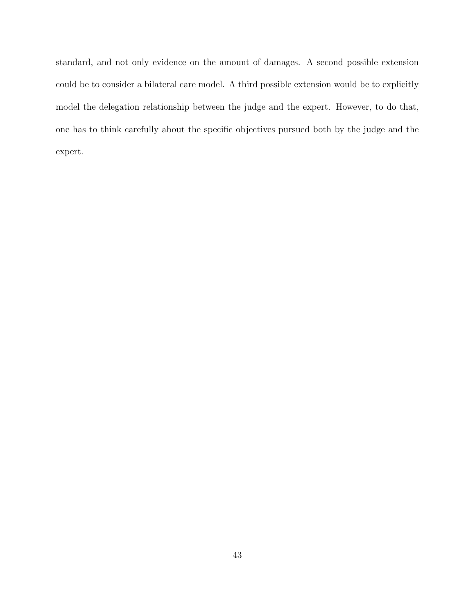standard, and not only evidence on the amount of damages. A second possible extension could be to consider a bilateral care model. A third possible extension would be to explicitly model the delegation relationship between the judge and the expert. However, to do that, one has to think carefully about the specific objectives pursued both by the judge and the expert.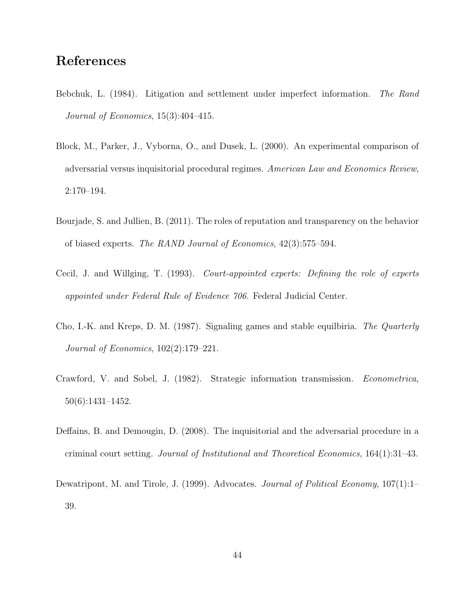### References

- Bebchuk, L. (1984). Litigation and settlement under imperfect information. The Rand Journal of Economics, 15(3):404–415.
- Block, M., Parker, J., Vyborna, O., and Dusek, L. (2000). An experimental comparison of adversarial versus inquisitorial procedural regimes. American Law and Economics Review, 2:170–194.
- Bourjade, S. and Jullien, B. (2011). The roles of reputation and transparency on the behavior of biased experts. The RAND Journal of Economics, 42(3):575–594.
- Cecil, J. and Willging, T. (1993). Court-appointed experts: Defining the role of experts appointed under Federal Rule of Evidence 706. Federal Judicial Center.
- Cho, I.-K. and Kreps, D. M. (1987). Signaling games and stable equilbiria. The Quarterly Journal of Economics, 102(2):179–221.
- Crawford, V. and Sobel, J. (1982). Strategic information transmission. Econometrica, 50(6):1431–1452.
- Deffains, B. and Demougin, D. (2008). The inquisitorial and the adversarial procedure in a criminal court setting. Journal of Institutional and Theoretical Economics, 164(1):31–43.
- Dewatripont, M. and Tirole, J. (1999). Advocates. Journal of Political Economy, 107(1):1– 39.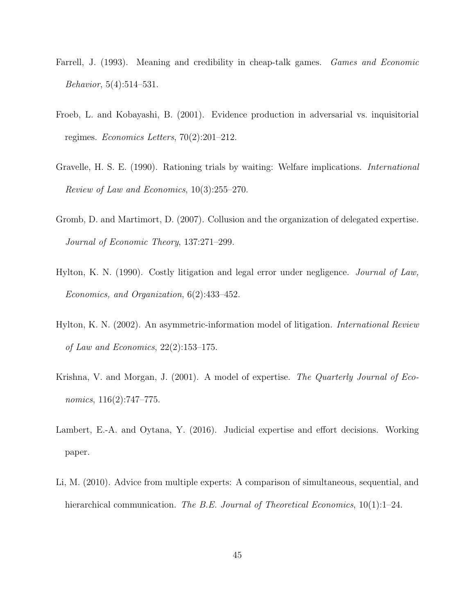- Farrell, J. (1993). Meaning and credibility in cheap-talk games. Games and Economic Behavior, 5(4):514–531.
- Froeb, L. and Kobayashi, B. (2001). Evidence production in adversarial vs. inquisitorial regimes. Economics Letters, 70(2):201–212.
- Gravelle, H. S. E. (1990). Rationing trials by waiting: Welfare implications. International Review of Law and Economics, 10(3):255–270.
- Gromb, D. and Martimort, D. (2007). Collusion and the organization of delegated expertise. Journal of Economic Theory, 137:271–299.
- Hylton, K. N. (1990). Costly litigation and legal error under negligence. Journal of Law, Economics, and Organization, 6(2):433–452.
- Hylton, K. N. (2002). An asymmetric-information model of litigation. International Review of Law and Economics, 22(2):153–175.
- Krishna, V. and Morgan, J. (2001). A model of expertise. The Quarterly Journal of Economics, 116(2):747-775.
- Lambert, E.-A. and Oytana, Y. (2016). Judicial expertise and effort decisions. Working paper.
- Li, M. (2010). Advice from multiple experts: A comparison of simultaneous, sequential, and hierarchical communication. The B.E. Journal of Theoretical Economics,  $10(1):1-24$ .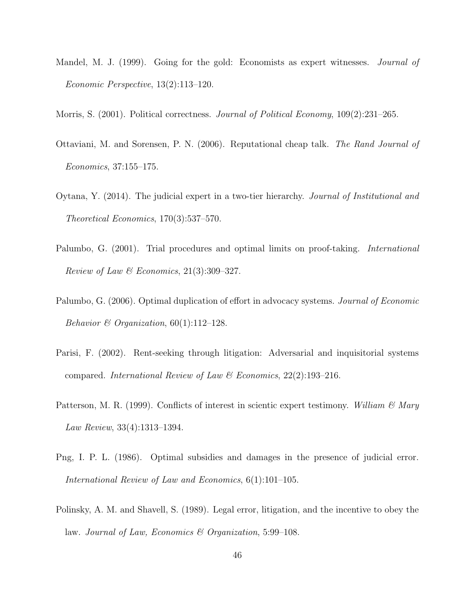- Mandel, M. J. (1999). Going for the gold: Economists as expert witnesses. *Journal of* Economic Perspective, 13(2):113–120.
- Morris, S. (2001). Political correctness. *Journal of Political Economy*, 109(2):231–265.
- Ottaviani, M. and Sorensen, P. N. (2006). Reputational cheap talk. The Rand Journal of Economics, 37:155–175.
- Oytana, Y. (2014). The judicial expert in a two-tier hierarchy. Journal of Institutional and Theoretical Economics, 170(3):537–570.
- Palumbo, G. (2001). Trial procedures and optimal limits on proof-taking. International Review of Law & Economics,  $21(3):309-327$ .
- Palumbo, G. (2006). Optimal duplication of effort in advocacy systems. *Journal of Economic* Behavior & Organization,  $60(1)$ :112-128.
- Parisi, F. (2002). Rent-seeking through litigation: Adversarial and inquisitorial systems compared. International Review of Law & Economics,  $22(2):193-216$ .
- Patterson, M. R. (1999). Conflicts of interest in scientic expert testimony. William  $\mathscr{C}$  Mary Law Review, 33(4):1313–1394.
- Png, I. P. L. (1986). Optimal subsidies and damages in the presence of judicial error. International Review of Law and Economics, 6(1):101–105.
- Polinsky, A. M. and Shavell, S. (1989). Legal error, litigation, and the incentive to obey the law. Journal of Law, Economics & Organization, 5:99–108.